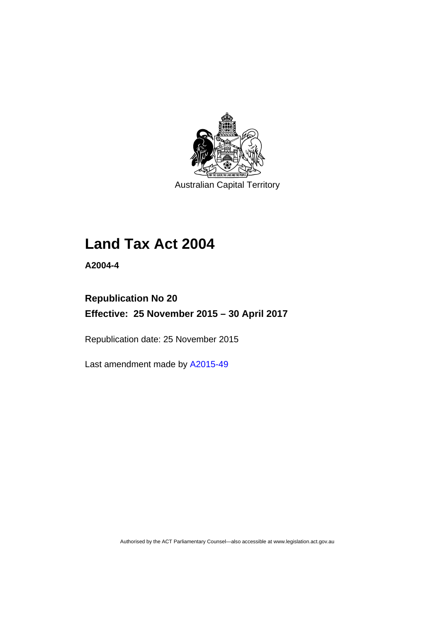

Australian Capital Territory

# **Land Tax Act 2004**

**A2004-4** 

## **Republication No 20 Effective: 25 November 2015 – 30 April 2017**

Republication date: 25 November 2015

Last amendment made by [A2015-49](http://www.legislation.act.gov.au/a/2015-49)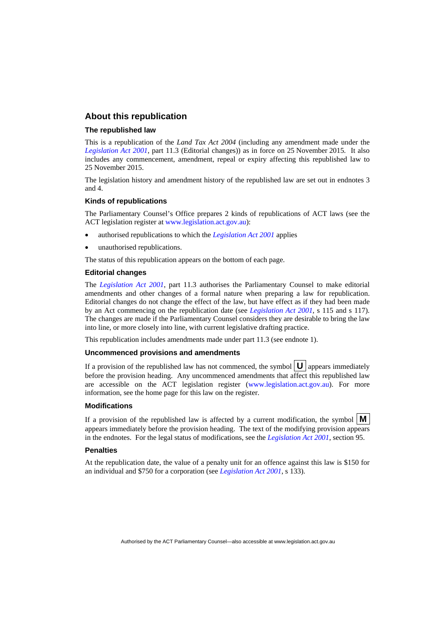## **About this republication**

#### **The republished law**

This is a republication of the *Land Tax Act 2004* (including any amendment made under the *[Legislation Act 2001](http://www.legislation.act.gov.au/a/2001-14)*, part 11.3 (Editorial changes)) as in force on 25 November 2015*.* It also includes any commencement, amendment, repeal or expiry affecting this republished law to 25 November 2015.

The legislation history and amendment history of the republished law are set out in endnotes 3 and 4.

#### **Kinds of republications**

The Parliamentary Counsel's Office prepares 2 kinds of republications of ACT laws (see the ACT legislation register at [www.legislation.act.gov.au](http://www.legislation.act.gov.au/)):

- authorised republications to which the *[Legislation Act 2001](http://www.legislation.act.gov.au/a/2001-14)* applies
- unauthorised republications.

The status of this republication appears on the bottom of each page.

#### **Editorial changes**

The *[Legislation Act 2001](http://www.legislation.act.gov.au/a/2001-14)*, part 11.3 authorises the Parliamentary Counsel to make editorial amendments and other changes of a formal nature when preparing a law for republication. Editorial changes do not change the effect of the law, but have effect as if they had been made by an Act commencing on the republication date (see *[Legislation Act 2001](http://www.legislation.act.gov.au/a/2001-14)*, s 115 and s 117). The changes are made if the Parliamentary Counsel considers they are desirable to bring the law into line, or more closely into line, with current legislative drafting practice.

This republication includes amendments made under part 11.3 (see endnote 1).

#### **Uncommenced provisions and amendments**

If a provision of the republished law has not commenced, the symbol  $\mathbf{U}$  appears immediately before the provision heading. Any uncommenced amendments that affect this republished law are accessible on the ACT legislation register [\(www.legislation.act.gov.au\)](http://www.legislation.act.gov.au/). For more information, see the home page for this law on the register.

#### **Modifications**

If a provision of the republished law is affected by a current modification, the symbol  $\mathbf{M}$ appears immediately before the provision heading. The text of the modifying provision appears in the endnotes. For the legal status of modifications, see the *[Legislation Act 2001](http://www.legislation.act.gov.au/a/2001-14)*, section 95.

#### **Penalties**

At the republication date, the value of a penalty unit for an offence against this law is \$150 for an individual and \$750 for a corporation (see *[Legislation Act 2001](http://www.legislation.act.gov.au/a/2001-14)*, s 133).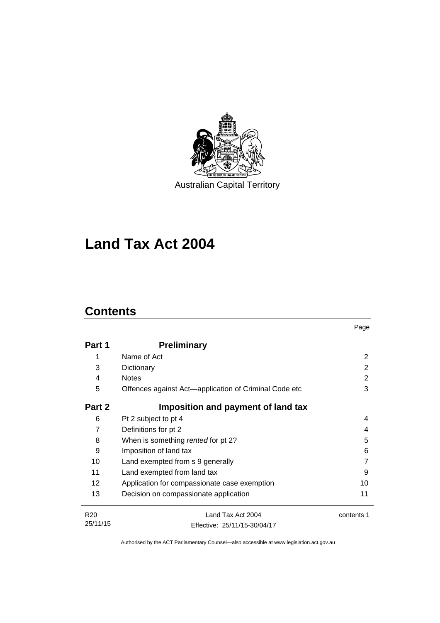

# **Land Tax Act 2004**

## **Contents**

|                 |                                                       | Page       |
|-----------------|-------------------------------------------------------|------------|
| Part 1          | <b>Preliminary</b>                                    |            |
| 1               | Name of Act                                           | 2          |
| 3               | Dictionary                                            | 2          |
| 4               | <b>Notes</b>                                          | 2          |
| 5               | Offences against Act-application of Criminal Code etc | 3          |
| Part 2          | Imposition and payment of land tax                    |            |
| 6               | Pt 2 subject to pt 4                                  | 4          |
| $\overline{7}$  | Definitions for pt 2                                  | 4          |
| 8               | When is something rented for pt 2?                    | 5          |
| 9               | Imposition of land tax                                | 6          |
| 10              | Land exempted from s 9 generally                      |            |
| 11              | Land exempted from land tax                           | 9          |
| 12 <sup>2</sup> | Application for compassionate case exemption          | 10         |
| 13              | Decision on compassionate application                 | 11         |
| R <sub>20</sub> | Land Tax Act 2004                                     | contents 1 |
| 25/11/15        | Fffective: 25/11/15-30/04/17                          |            |

Effective: 25/11/15-30/04/17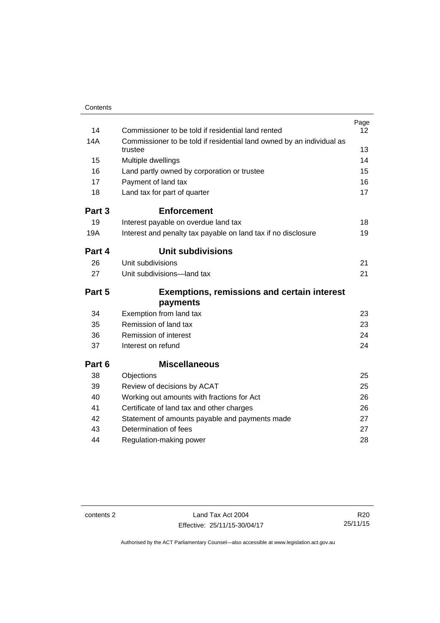| Contents |                                                                       |                 |
|----------|-----------------------------------------------------------------------|-----------------|
|          |                                                                       | Page            |
| 14       | Commissioner to be told if residential land rented                    | 12 <sup>2</sup> |
| 14A      | Commissioner to be told if residential land owned by an individual as |                 |
|          | trustee                                                               | 13              |
| 15       | Multiple dwellings                                                    | 14              |
| 16       | Land partly owned by corporation or trustee                           | 15              |
| 17       | Payment of land tax                                                   | 16              |
| 18       | Land tax for part of quarter                                          | 17              |
| Part 3   | <b>Enforcement</b>                                                    |                 |
| 19       | Interest payable on overdue land tax                                  | 18              |
| 19A      | Interest and penalty tax payable on land tax if no disclosure         | 19              |
| Part 4   | <b>Unit subdivisions</b>                                              |                 |
| 26       | Unit subdivisions                                                     | 21              |
| 27       | Unit subdivisions-land tax                                            | 21              |
| Part 5   | <b>Exemptions, remissions and certain interest</b>                    |                 |
|          | payments                                                              |                 |
| 34       | Exemption from land tax                                               | 23              |
| 35       | Remission of land tax                                                 | 23              |
| 36       | Remission of interest                                                 | 24              |
| 37       | Interest on refund                                                    | 24              |
| Part 6   | <b>Miscellaneous</b>                                                  |                 |
| 38       | Objections                                                            | 25              |
| 39       | Review of decisions by ACAT                                           | 25              |
| 40       | Working out amounts with fractions for Act                            | 26              |
| 41       | Certificate of land tax and other charges                             | 26              |
| 42       | Statement of amounts payable and payments made                        | 27              |
| 43       | Determination of fees                                                 | 27              |
| 44       | Regulation-making power                                               | 28              |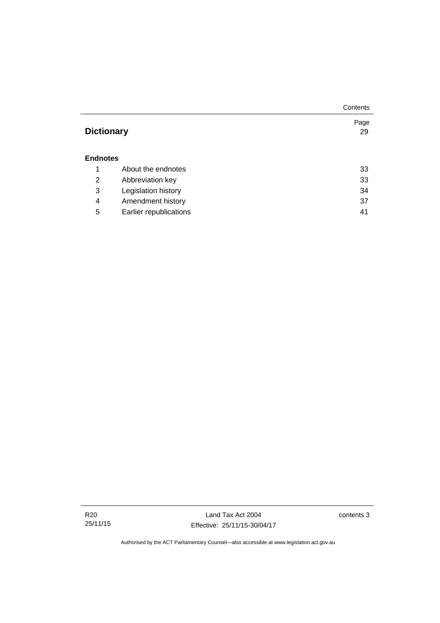|                   |                        | Contents   |
|-------------------|------------------------|------------|
| <b>Dictionary</b> |                        | Page<br>29 |
| <b>Endnotes</b>   |                        |            |
| 1                 | About the endnotes     | 33         |
| 2                 | Abbreviation key       | 33         |
| 3                 | Legislation history    | 34         |
| 4                 | Amendment history      | 37         |
| 5                 | Earlier republications | 41         |

Land Tax Act 2004 Effective: 25/11/15-30/04/17 contents 3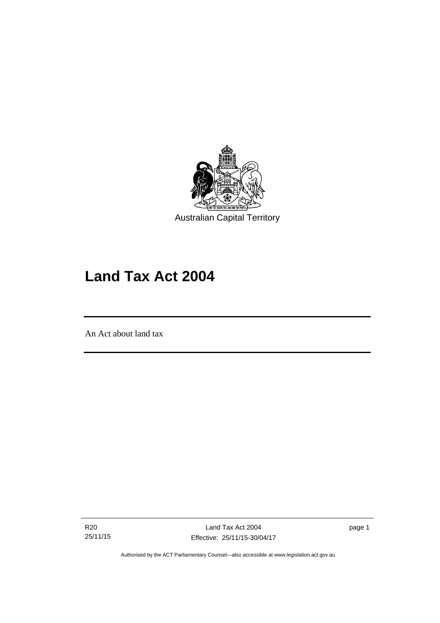

# **Land Tax Act 2004**

An Act about land tax

l

R20 25/11/15 page 1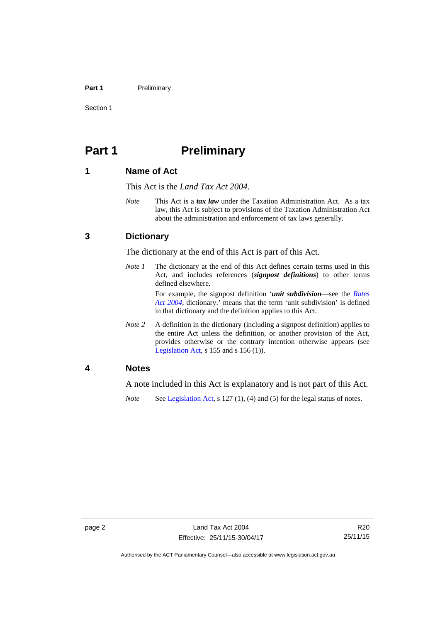#### Part 1 **Preliminary**

Section 1

## <span id="page-7-0"></span>**Part 1** Preliminary

## <span id="page-7-1"></span>**1 Name of Act**

This Act is the *Land Tax Act 2004*.

*Note* This Act is a *tax law* under the Taxation Administration Act. As a tax law, this Act is subject to provisions of the Taxation Administration Act about the administration and enforcement of tax laws generally.

## <span id="page-7-2"></span>**3 Dictionary**

The dictionary at the end of this Act is part of this Act.

*Note 1* The dictionary at the end of this Act defines certain terms used in this Act, and includes references (*signpost definitions*) to other terms defined elsewhere.

> For example, the signpost definition '*unit subdivision*—see the *[Rates](http://www.legislation.act.gov.au/a/2004-3)  [Act 2004](http://www.legislation.act.gov.au/a/2004-3)*, dictionary.' means that the term 'unit subdivision' is defined in that dictionary and the definition applies to this Act.

*Note* 2 A definition in the dictionary (including a signpost definition) applies to the entire Act unless the definition, or another provision of the Act, provides otherwise or the contrary intention otherwise appears (see [Legislation Act,](http://www.legislation.act.gov.au/a/2001-14) s 155 and s 156 (1)).

## <span id="page-7-3"></span>**4 Notes**

A note included in this Act is explanatory and is not part of this Act.

*Note* See [Legislation Act,](http://www.legislation.act.gov.au/a/2001-14) s 127 (1), (4) and (5) for the legal status of notes.

R20 25/11/15

Authorised by the ACT Parliamentary Counsel—also accessible at www.legislation.act.gov.au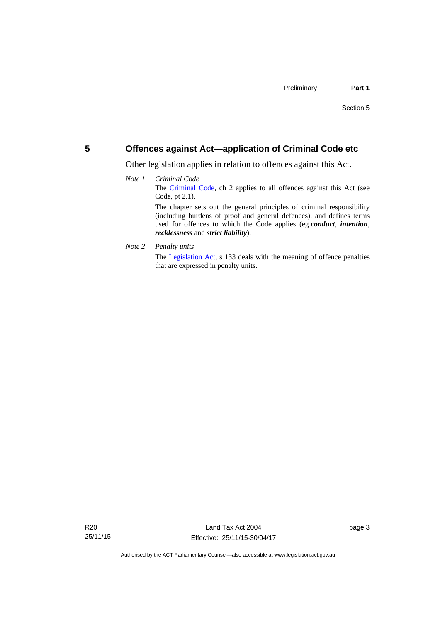## <span id="page-8-0"></span>**5 Offences against Act—application of Criminal Code etc**

Other legislation applies in relation to offences against this Act.

### *Note 1 Criminal Code* The [Criminal Code](http://www.legislation.act.gov.au/a/2002-51), ch 2 applies to all offences against this Act (see Code, pt 2.1). The chapter sets out the general principles of criminal responsibility (including burdens of proof and general defences), and defines terms used for offences to which the Code applies (eg *conduct*, *intention*, *recklessness* and *strict liability*).

*Note 2 Penalty units* 

The [Legislation Act](http://www.legislation.act.gov.au/a/2001-14), s 133 deals with the meaning of offence penalties that are expressed in penalty units.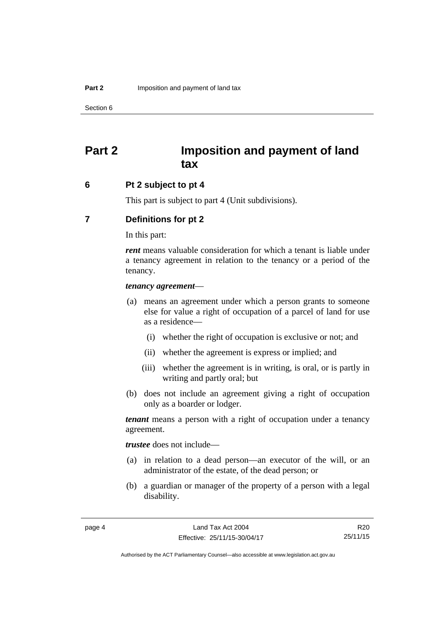## <span id="page-9-0"></span>**Part 2 Imposition and payment of land tax**

## <span id="page-9-1"></span>**6 Pt 2 subject to pt 4**

This part is subject to part 4 (Unit subdivisions).

## <span id="page-9-2"></span>**7 Definitions for pt 2**

In this part:

*rent* means valuable consideration for which a tenant is liable under a tenancy agreement in relation to the tenancy or a period of the tenancy.

#### *tenancy agreement*—

- (a) means an agreement under which a person grants to someone else for value a right of occupation of a parcel of land for use as a residence—
	- (i) whether the right of occupation is exclusive or not; and
	- (ii) whether the agreement is express or implied; and
	- (iii) whether the agreement is in writing, is oral, or is partly in writing and partly oral; but
- (b) does not include an agreement giving a right of occupation only as a boarder or lodger.

*tenant* means a person with a right of occupation under a tenancy agreement.

*trustee* does not include—

- (a) in relation to a dead person—an executor of the will, or an administrator of the estate, of the dead person; or
- (b) a guardian or manager of the property of a person with a legal disability.

R20 25/11/15

Authorised by the ACT Parliamentary Counsel—also accessible at www.legislation.act.gov.au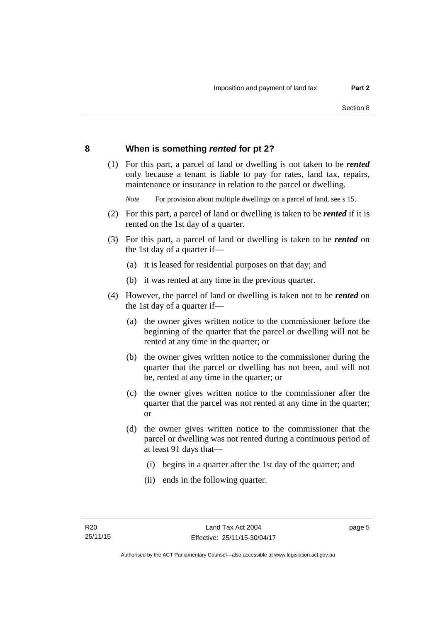## <span id="page-10-0"></span>**8 When is something** *rented* **for pt 2?**

 (1) For this part, a parcel of land or dwelling is not taken to be *rented* only because a tenant is liable to pay for rates, land tax, repairs, maintenance or insurance in relation to the parcel or dwelling.

*Note* For provision about multiple dwellings on a parcel of land, see s 15.

- (2) For this part, a parcel of land or dwelling is taken to be *rented* if it is rented on the 1st day of a quarter.
- (3) For this part, a parcel of land or dwelling is taken to be *rented* on the 1st day of a quarter if—
	- (a) it is leased for residential purposes on that day; and
	- (b) it was rented at any time in the previous quarter.
- (4) However, the parcel of land or dwelling is taken not to be *rented* on the 1st day of a quarter if—
	- (a) the owner gives written notice to the commissioner before the beginning of the quarter that the parcel or dwelling will not be rented at any time in the quarter; or
	- (b) the owner gives written notice to the commissioner during the quarter that the parcel or dwelling has not been, and will not be, rented at any time in the quarter; or
	- (c) the owner gives written notice to the commissioner after the quarter that the parcel was not rented at any time in the quarter; or
	- (d) the owner gives written notice to the commissioner that the parcel or dwelling was not rented during a continuous period of at least 91 days that—
		- (i) begins in a quarter after the 1st day of the quarter; and
		- (ii) ends in the following quarter.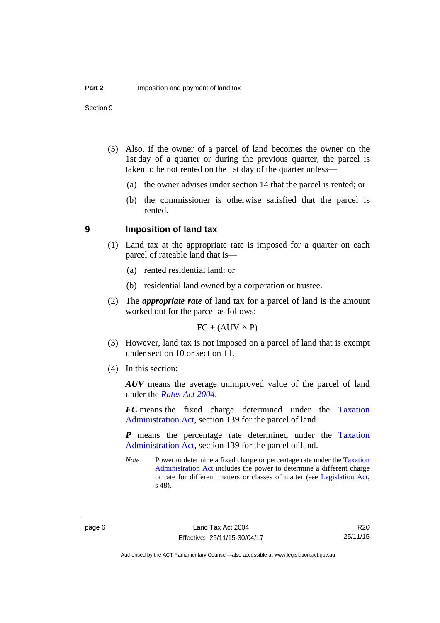- (5) Also, if the owner of a parcel of land becomes the owner on the 1st day of a quarter or during the previous quarter, the parcel is taken to be not rented on the 1st day of the quarter unless—
	- (a) the owner advises under section 14 that the parcel is rented; or
	- (b) the commissioner is otherwise satisfied that the parcel is rented.

#### <span id="page-11-0"></span>**9 Imposition of land tax**

- (1) Land tax at the appropriate rate is imposed for a quarter on each parcel of rateable land that is—
	- (a) rented residential land; or
	- (b) residential land owned by a corporation or trustee.
- (2) The *appropriate rate* of land tax for a parcel of land is the amount worked out for the parcel as follows:

 $FC + (AUV \times P)$ 

- (3) However, land tax is not imposed on a parcel of land that is exempt under section 10 or section 11.
- (4) In this section:

*AUV* means the average unimproved value of the parcel of land under the *[Rates Act 2004](http://www.legislation.act.gov.au/a/2004-3)*.

*FC* means the fixed charge determined under the [Taxation](http://www.legislation.act.gov.au/a/1999-4/default.asp)  [Administration Act](http://www.legislation.act.gov.au/a/1999-4/default.asp), section 139 for the parcel of land.

*P* means the percentage rate determined under the [Taxation](http://www.legislation.act.gov.au/a/1999-4/default.asp)  [Administration Act](http://www.legislation.act.gov.au/a/1999-4/default.asp), section 139 for the parcel of land.

*Note* Power to determine a fixed charge or percentage rate under the Taxation [Administration Act](http://www.legislation.act.gov.au/a/1999-4/default.asp) includes the power to determine a different charge or rate for different matters or classes of matter (see [Legislation Act,](http://www.legislation.act.gov.au/a/2001-14) s 48).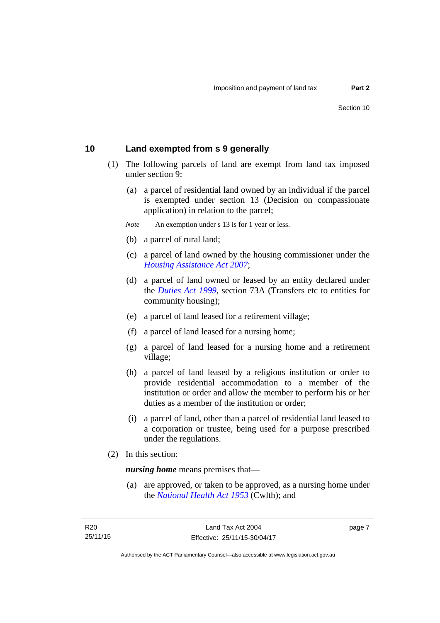## <span id="page-12-0"></span>**10 Land exempted from s 9 generally**

- (1) The following parcels of land are exempt from land tax imposed under section 9:
	- (a) a parcel of residential land owned by an individual if the parcel is exempted under section 13 (Decision on compassionate application) in relation to the parcel;
	- *Note* An exemption under s 13 is for 1 year or less.
	- (b) a parcel of rural land;
	- (c) a parcel of land owned by the housing commissioner under the *[Housing Assistance Act 2007](http://www.legislation.act.gov.au/a/2007-8)*;
	- (d) a parcel of land owned or leased by an entity declared under the *[Duties Act 1999](http://www.legislation.act.gov.au/a/1999-7)*, section 73A (Transfers etc to entities for community housing);
	- (e) a parcel of land leased for a retirement village;
	- (f) a parcel of land leased for a nursing home;
	- (g) a parcel of land leased for a nursing home and a retirement village;
	- (h) a parcel of land leased by a religious institution or order to provide residential accommodation to a member of the institution or order and allow the member to perform his or her duties as a member of the institution or order;
	- (i) a parcel of land, other than a parcel of residential land leased to a corporation or trustee, being used for a purpose prescribed under the regulations.
- (2) In this section:

*nursing home* means premises that—

 (a) are approved, or taken to be approved, as a nursing home under the *[National Health Act 1953](http://www.comlaw.gov.au/Details/C2013C00083)* (Cwlth); and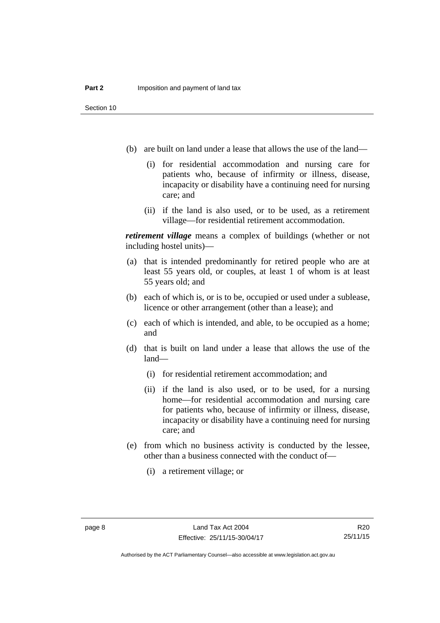- (b) are built on land under a lease that allows the use of the land—
	- (i) for residential accommodation and nursing care for patients who, because of infirmity or illness, disease, incapacity or disability have a continuing need for nursing care; and
	- (ii) if the land is also used, or to be used, as a retirement village—for residential retirement accommodation.

*retirement village* means a complex of buildings (whether or not including hostel units)—

- (a) that is intended predominantly for retired people who are at least 55 years old, or couples, at least 1 of whom is at least 55 years old; and
- (b) each of which is, or is to be, occupied or used under a sublease, licence or other arrangement (other than a lease); and
- (c) each of which is intended, and able, to be occupied as a home; and
- (d) that is built on land under a lease that allows the use of the land—
	- (i) for residential retirement accommodation; and
	- (ii) if the land is also used, or to be used, for a nursing home—for residential accommodation and nursing care for patients who, because of infirmity or illness, disease, incapacity or disability have a continuing need for nursing care; and
- (e) from which no business activity is conducted by the lessee, other than a business connected with the conduct of—
	- (i) a retirement village; or

Authorised by the ACT Parliamentary Counsel—also accessible at www.legislation.act.gov.au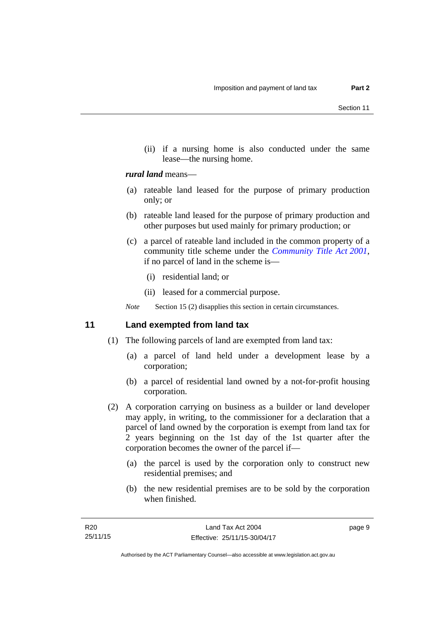(ii) if a nursing home is also conducted under the same lease—the nursing home.

## *rural land* means—

- (a) rateable land leased for the purpose of primary production only; or
- (b) rateable land leased for the purpose of primary production and other purposes but used mainly for primary production; or
- (c) a parcel of rateable land included in the common property of a community title scheme under the *[Community Title Act 2001](http://www.legislation.act.gov.au/a/2001-58)*, if no parcel of land in the scheme is—
	- (i) residential land; or
	- (ii) leased for a commercial purpose.

*Note* Section 15 (2) disapplies this section in certain circumstances.

## <span id="page-14-0"></span>**11 Land exempted from land tax**

- (1) The following parcels of land are exempted from land tax:
	- (a) a parcel of land held under a development lease by a corporation;
	- (b) a parcel of residential land owned by a not-for-profit housing corporation.
- (2) A corporation carrying on business as a builder or land developer may apply, in writing, to the commissioner for a declaration that a parcel of land owned by the corporation is exempt from land tax for 2 years beginning on the 1st day of the 1st quarter after the corporation becomes the owner of the parcel if—
	- (a) the parcel is used by the corporation only to construct new residential premises; and
	- (b) the new residential premises are to be sold by the corporation when finished.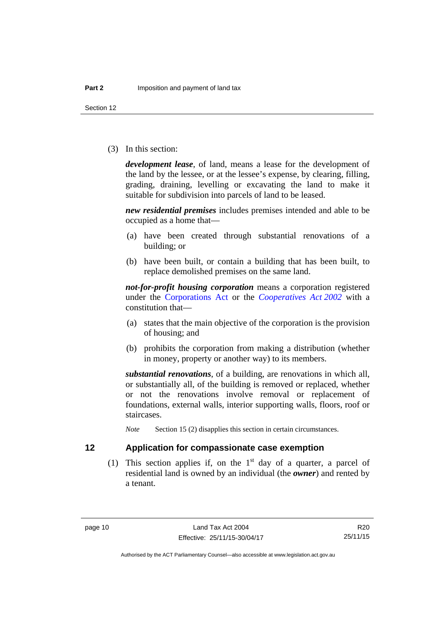Section 12

(3) In this section:

*development lease*, of land, means a lease for the development of the land by the lessee, or at the lessee's expense, by clearing, filling, grading, draining, levelling or excavating the land to make it suitable for subdivision into parcels of land to be leased.

*new residential premises* includes premises intended and able to be occupied as a home that—

- (a) have been created through substantial renovations of a building; or
- (b) have been built, or contain a building that has been built, to replace demolished premises on the same land.

*not-for-profit housing corporation* means a corporation registered under the [Corporations Act](http://www.comlaw.gov.au/Series/C2004A00818) or the *[Cooperatives Act 2002](http://www.legislation.act.gov.au/a/2002-45)* with a constitution that—

- (a) states that the main objective of the corporation is the provision of housing; and
- (b) prohibits the corporation from making a distribution (whether in money, property or another way) to its members.

*substantial renovations*, of a building, are renovations in which all, or substantially all, of the building is removed or replaced, whether or not the renovations involve removal or replacement of foundations, external walls, interior supporting walls, floors, roof or staircases.

*Note* Section 15 (2) disapplies this section in certain circumstances.

## <span id="page-15-0"></span>**12 Application for compassionate case exemption**

(1) This section applies if, on the  $1<sup>st</sup>$  day of a quarter, a parcel of residential land is owned by an individual (the *owner*) and rented by a tenant.

Authorised by the ACT Parliamentary Counsel—also accessible at www.legislation.act.gov.au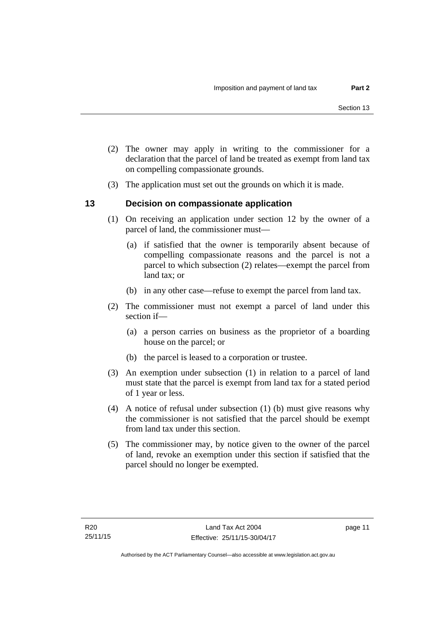- (2) The owner may apply in writing to the commissioner for a declaration that the parcel of land be treated as exempt from land tax on compelling compassionate grounds.
- (3) The application must set out the grounds on which it is made.

## <span id="page-16-0"></span>**13 Decision on compassionate application**

- (1) On receiving an application under section 12 by the owner of a parcel of land, the commissioner must—
	- (a) if satisfied that the owner is temporarily absent because of compelling compassionate reasons and the parcel is not a parcel to which subsection (2) relates—exempt the parcel from land tax; or
	- (b) in any other case—refuse to exempt the parcel from land tax.
- (2) The commissioner must not exempt a parcel of land under this section if—
	- (a) a person carries on business as the proprietor of a boarding house on the parcel; or
	- (b) the parcel is leased to a corporation or trustee.
- (3) An exemption under subsection (1) in relation to a parcel of land must state that the parcel is exempt from land tax for a stated period of 1 year or less.
- (4) A notice of refusal under subsection (1) (b) must give reasons why the commissioner is not satisfied that the parcel should be exempt from land tax under this section.
- (5) The commissioner may, by notice given to the owner of the parcel of land, revoke an exemption under this section if satisfied that the parcel should no longer be exempted.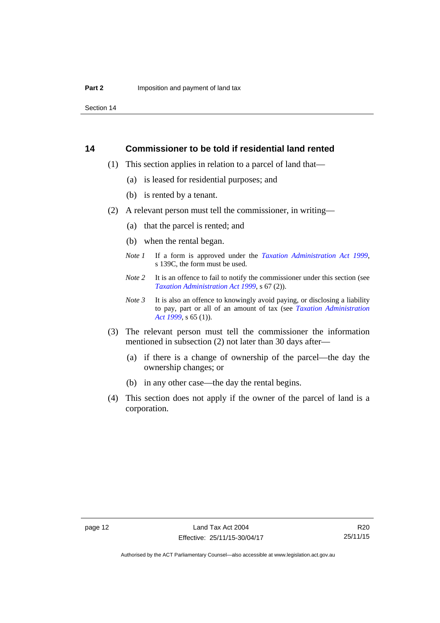Section 14

## <span id="page-17-0"></span>**14 Commissioner to be told if residential land rented**

- (1) This section applies in relation to a parcel of land that—
	- (a) is leased for residential purposes; and
	- (b) is rented by a tenant.
- (2) A relevant person must tell the commissioner, in writing—
	- (a) that the parcel is rented; and
	- (b) when the rental began.
	- *Note 1* If a form is approved under the *[Taxation Administration Act 1999](http://www.legislation.act.gov.au/a/1999-4)*, s 139C, the form must be used.
	- *Note* 2 It is an offence to fail to notify the commissioner under this section (see *[Taxation Administration Act 1999](http://www.legislation.act.gov.au/a/1999-4)*, s 67 (2)).
	- *Note 3* It is also an offence to knowingly avoid paying, or disclosing a liability to pay, part or all of an amount of tax (see *[Taxation Administration](http://www.legislation.act.gov.au/a/1999-4)  [Act 1999](http://www.legislation.act.gov.au/a/1999-4)*, s 65 (1)).
- (3) The relevant person must tell the commissioner the information mentioned in subsection (2) not later than 30 days after—
	- (a) if there is a change of ownership of the parcel—the day the ownership changes; or
	- (b) in any other case—the day the rental begins.
- (4) This section does not apply if the owner of the parcel of land is a corporation.

R20 25/11/15

Authorised by the ACT Parliamentary Counsel—also accessible at www.legislation.act.gov.au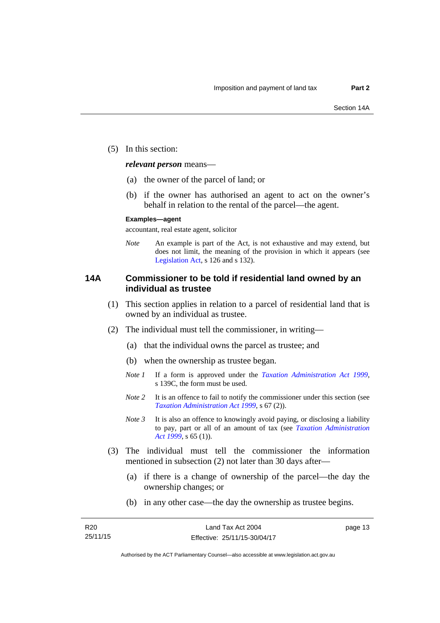(5) In this section:

*relevant person* means—

- (a) the owner of the parcel of land; or
- (b) if the owner has authorised an agent to act on the owner's behalf in relation to the rental of the parcel—the agent.

#### **Examples—agent**

accountant, real estate agent, solicitor

*Note* An example is part of the Act, is not exhaustive and may extend, but does not limit, the meaning of the provision in which it appears (see [Legislation Act,](http://www.legislation.act.gov.au/a/2001-14) s 126 and s 132).

## <span id="page-18-0"></span>**14A Commissioner to be told if residential land owned by an individual as trustee**

- (1) This section applies in relation to a parcel of residential land that is owned by an individual as trustee.
- (2) The individual must tell the commissioner, in writing—
	- (a) that the individual owns the parcel as trustee; and
	- (b) when the ownership as trustee began.
	- *Note 1* If a form is approved under the *[Taxation Administration Act 1999](http://www.legislation.act.gov.au/a/1999-4)*, s 139C, the form must be used.
	- *Note 2* It is an offence to fail to notify the commissioner under this section (see *[Taxation Administration Act 1999](http://www.legislation.act.gov.au/a/1999-4)*, s 67 (2)).
	- *Note* 3 It is also an offence to knowingly avoid paying, or disclosing a liability to pay, part or all of an amount of tax (see *[Taxation Administration](http://www.legislation.act.gov.au/a/1999-4)  [Act 1999](http://www.legislation.act.gov.au/a/1999-4)*, s 65 (1)).
- (3) The individual must tell the commissioner the information mentioned in subsection (2) not later than 30 days after—
	- (a) if there is a change of ownership of the parcel—the day the ownership changes; or
	- (b) in any other case—the day the ownership as trustee begins.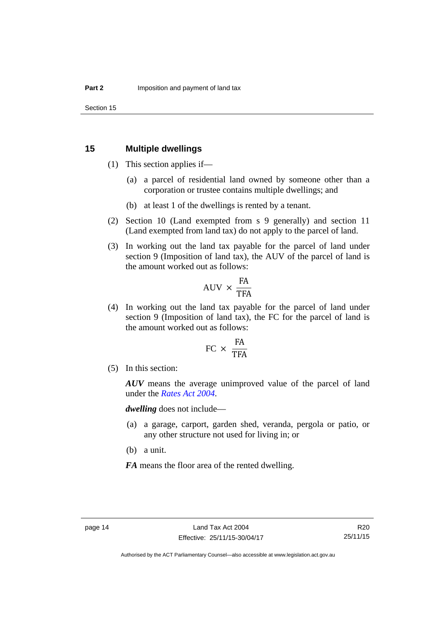## <span id="page-19-0"></span>**15 Multiple dwellings**

- (1) This section applies if—
	- (a) a parcel of residential land owned by someone other than a corporation or trustee contains multiple dwellings; and
	- (b) at least 1 of the dwellings is rented by a tenant.
- (2) Section 10 (Land exempted from s 9 generally) and section 11 (Land exempted from land tax) do not apply to the parcel of land.
- (3) In working out the land tax payable for the parcel of land under section 9 (Imposition of land tax), the AUV of the parcel of land is the amount worked out as follows:

$$
AVV \times \frac{FA}{TFA}
$$

 (4) In working out the land tax payable for the parcel of land under section 9 (Imposition of land tax), the FC for the parcel of land is the amount worked out as follows:

$$
FC \times \frac{FA}{TFA}
$$

(5) In this section:

*AUV* means the average unimproved value of the parcel of land under the *[Rates Act 2004](http://www.legislation.act.gov.au/a/2004-3)*.

*dwelling* does not include—

- (a) a garage, carport, garden shed, veranda, pergola or patio, or any other structure not used for living in; or
- (b) a unit.

*FA* means the floor area of the rented dwelling.

Authorised by the ACT Parliamentary Counsel—also accessible at www.legislation.act.gov.au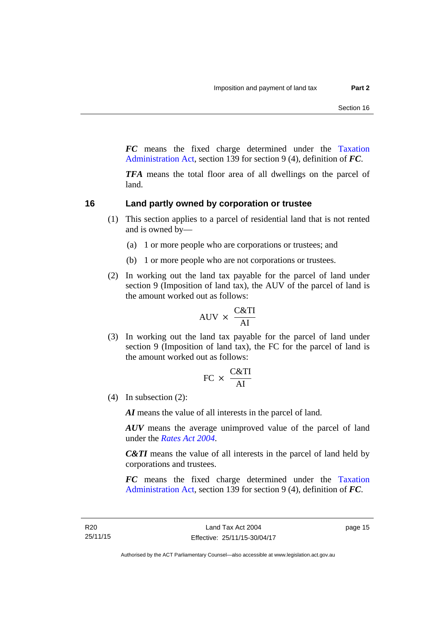*FC* means the fixed charge determined under the [Taxation](http://www.legislation.act.gov.au/a/1999-4/default.asp)  [Administration Act](http://www.legislation.act.gov.au/a/1999-4/default.asp), section 139 for section 9 (4), definition of *FC*.

*TFA* means the total floor area of all dwellings on the parcel of land.

## <span id="page-20-0"></span>**16 Land partly owned by corporation or trustee**

- (1) This section applies to a parcel of residential land that is not rented and is owned by—
	- (a) 1 or more people who are corporations or trustees; and
	- (b) 1 or more people who are not corporations or trustees.
- (2) In working out the land tax payable for the parcel of land under section 9 (Imposition of land tax), the AUV of the parcel of land is the amount worked out as follows:

$$
AUV \times \frac{C&TI}{AI}
$$

 (3) In working out the land tax payable for the parcel of land under section 9 (Imposition of land tax), the FC for the parcel of land is the amount worked out as follows:

$$
FC \times \frac{C&TI}{AI}
$$

(4) In subsection (2):

*AI* means the value of all interests in the parcel of land.

*AUV* means the average unimproved value of the parcel of land under the *[Rates Act 2004](http://www.legislation.act.gov.au/a/2004-3)*.

*C&TI* means the value of all interests in the parcel of land held by corporations and trustees.

*FC* means the fixed charge determined under the [Taxation](http://www.legislation.act.gov.au/a/1999-4/default.asp)  [Administration Act](http://www.legislation.act.gov.au/a/1999-4/default.asp), section 139 for section 9 (4), definition of *FC*.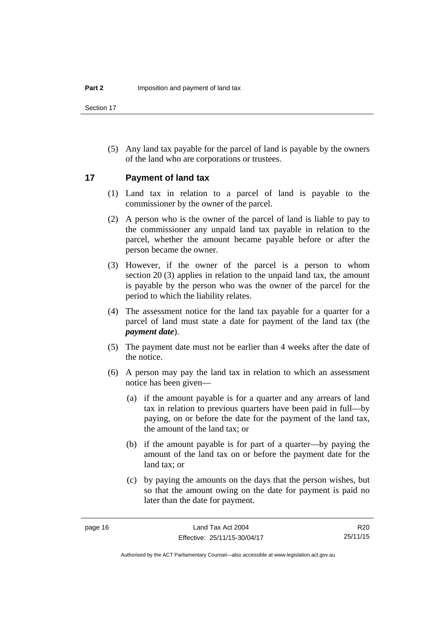Section 17

 (5) Any land tax payable for the parcel of land is payable by the owners of the land who are corporations or trustees.

## <span id="page-21-0"></span>**17 Payment of land tax**

- (1) Land tax in relation to a parcel of land is payable to the commissioner by the owner of the parcel.
- (2) A person who is the owner of the parcel of land is liable to pay to the commissioner any unpaid land tax payable in relation to the parcel, whether the amount became payable before or after the person became the owner.
- (3) However, if the owner of the parcel is a person to whom section 20 (3) applies in relation to the unpaid land tax, the amount is payable by the person who was the owner of the parcel for the period to which the liability relates.
- (4) The assessment notice for the land tax payable for a quarter for a parcel of land must state a date for payment of the land tax (the *payment date*).
- (5) The payment date must not be earlier than 4 weeks after the date of the notice.
- (6) A person may pay the land tax in relation to which an assessment notice has been given—
	- (a) if the amount payable is for a quarter and any arrears of land tax in relation to previous quarters have been paid in full—by paying, on or before the date for the payment of the land tax, the amount of the land tax; or
	- (b) if the amount payable is for part of a quarter—by paying the amount of the land tax on or before the payment date for the land tax; or
	- (c) by paying the amounts on the days that the person wishes, but so that the amount owing on the date for payment is paid no later than the date for payment.

R20 25/11/15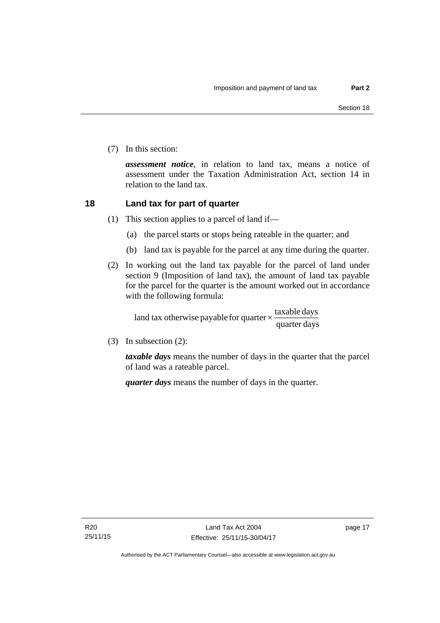(7) In this section:

*assessment notice*, in relation to land tax, means a notice of assessment under the Taxation Administration Act, section 14 in relation to the land tax.

## <span id="page-22-0"></span>**18 Land tax for part of quarter**

- (1) This section applies to a parcel of land if—
	- (a) the parcel starts or stops being rateable in the quarter; and
	- (b) land tax is payable for the parcel at any time during the quarter.
- (2) In working out the land tax payable for the parcel of land under section 9 (Imposition of land tax), the amount of land tax payable for the parcel for the quarter is the amount worked out in accordance with the following formula:

quarter days land tax otherwise payable for quarter  $\times$  taxable days

(3) In subsection (2):

*taxable days* means the number of days in the quarter that the parcel of land was a rateable parcel.

*quarter days* means the number of days in the quarter.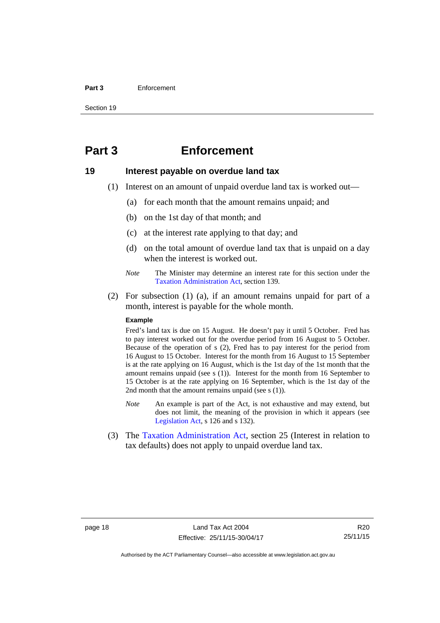#### **Part 3** Enforcement

Section 19

## <span id="page-23-0"></span>**Part 3 Enforcement**

## <span id="page-23-1"></span>**19 Interest payable on overdue land tax**

- (1) Interest on an amount of unpaid overdue land tax is worked out—
	- (a) for each month that the amount remains unpaid; and
	- (b) on the 1st day of that month; and
	- (c) at the interest rate applying to that day; and
	- (d) on the total amount of overdue land tax that is unpaid on a day when the interest is worked out.
	- *Note* The Minister may determine an interest rate for this section under the [Taxation Administration Act,](http://www.legislation.act.gov.au/a/1999-4/default.asp) section 139.
- (2) For subsection (1) (a), if an amount remains unpaid for part of a month, interest is payable for the whole month.

#### **Example**

Fred's land tax is due on 15 August. He doesn't pay it until 5 October. Fred has to pay interest worked out for the overdue period from 16 August to 5 October. Because of the operation of s (2), Fred has to pay interest for the period from 16 August to 15 October. Interest for the month from 16 August to 15 September is at the rate applying on 16 August, which is the 1st day of the 1st month that the amount remains unpaid (see s (1)). Interest for the month from 16 September to 15 October is at the rate applying on 16 September, which is the 1st day of the 2nd month that the amount remains unpaid (see s (1)).

- *Note* An example is part of the Act, is not exhaustive and may extend, but does not limit, the meaning of the provision in which it appears (see [Legislation Act,](http://www.legislation.act.gov.au/a/2001-14) s 126 and s 132).
- (3) The [Taxation Administration Act,](http://www.legislation.act.gov.au/a/1999-4/default.asp) section 25 (Interest in relation to tax defaults) does not apply to unpaid overdue land tax.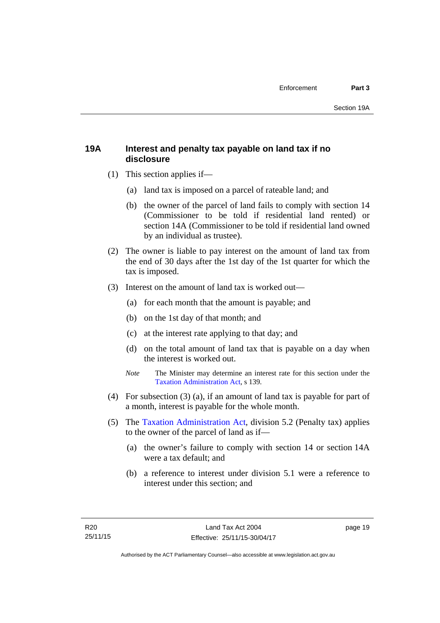## <span id="page-24-0"></span>**19A Interest and penalty tax payable on land tax if no disclosure**

- (1) This section applies if—
	- (a) land tax is imposed on a parcel of rateable land; and
	- (b) the owner of the parcel of land fails to comply with section 14 (Commissioner to be told if residential land rented) or section 14A (Commissioner to be told if residential land owned by an individual as trustee).
- (2) The owner is liable to pay interest on the amount of land tax from the end of 30 days after the 1st day of the 1st quarter for which the tax is imposed.
- (3) Interest on the amount of land tax is worked out—
	- (a) for each month that the amount is payable; and
	- (b) on the 1st day of that month; and
	- (c) at the interest rate applying to that day; and
	- (d) on the total amount of land tax that is payable on a day when the interest is worked out.
	- *Note* The Minister may determine an interest rate for this section under the [Taxation Administration Act,](http://www.legislation.act.gov.au/a/1999-4/default.asp) s 139.
- (4) For subsection (3) (a), if an amount of land tax is payable for part of a month, interest is payable for the whole month.
- (5) The [Taxation Administration Act,](http://www.legislation.act.gov.au/a/1999-4/default.asp) division 5.2 (Penalty tax) applies to the owner of the parcel of land as if—
	- (a) the owner's failure to comply with section 14 or section 14A were a tax default; and
	- (b) a reference to interest under division 5.1 were a reference to interest under this section; and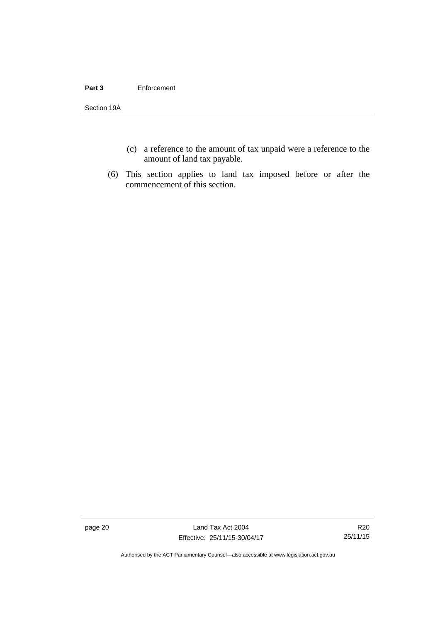#### **Part 3** Enforcement

Section 19A

- (c) a reference to the amount of tax unpaid were a reference to the amount of land tax payable.
- (6) This section applies to land tax imposed before or after the commencement of this section.

page 20 Land Tax Act 2004 Effective: 25/11/15-30/04/17

R20 25/11/15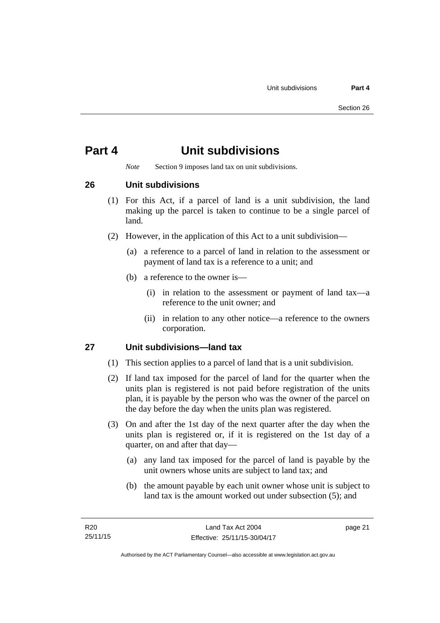## <span id="page-26-0"></span>**Part 4 Unit subdivisions**

*Note* Section 9 imposes land tax on unit subdivisions.

<span id="page-26-1"></span>**26 Unit subdivisions** 

- (1) For this Act, if a parcel of land is a unit subdivision, the land making up the parcel is taken to continue to be a single parcel of land.
- (2) However, in the application of this Act to a unit subdivision—
	- (a) a reference to a parcel of land in relation to the assessment or payment of land tax is a reference to a unit; and
	- (b) a reference to the owner is—
		- (i) in relation to the assessment or payment of land tax—a reference to the unit owner; and
		- (ii) in relation to any other notice—a reference to the owners corporation.

## <span id="page-26-2"></span>**27 Unit subdivisions—land tax**

- (1) This section applies to a parcel of land that is a unit subdivision.
- (2) If land tax imposed for the parcel of land for the quarter when the units plan is registered is not paid before registration of the units plan, it is payable by the person who was the owner of the parcel on the day before the day when the units plan was registered.
- (3) On and after the 1st day of the next quarter after the day when the units plan is registered or, if it is registered on the 1st day of a quarter, on and after that day—
	- (a) any land tax imposed for the parcel of land is payable by the unit owners whose units are subject to land tax; and
	- (b) the amount payable by each unit owner whose unit is subject to land tax is the amount worked out under subsection (5); and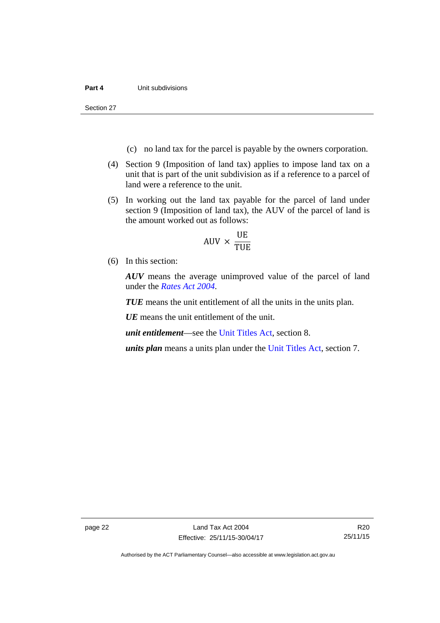Section 27

- (c) no land tax for the parcel is payable by the owners corporation.
- (4) Section 9 (Imposition of land tax) applies to impose land tax on a unit that is part of the unit subdivision as if a reference to a parcel of land were a reference to the unit.
- (5) In working out the land tax payable for the parcel of land under section 9 (Imposition of land tax), the AUV of the parcel of land is the amount worked out as follows:

$$
AUV \times \frac{UE}{TUE}
$$

(6) In this section:

*AUV* means the average unimproved value of the parcel of land under the *[Rates Act 2004](http://www.legislation.act.gov.au/a/2004-3)*.

*TUE* means the unit entitlement of all the units in the units plan.

*UE* means the unit entitlement of the unit.

*unit entitlement*—see the [Unit Titles Act](http://www.legislation.act.gov.au/a/2001-16/default.asp), section 8.

*units plan* means a units plan under the [Unit Titles Act,](http://www.legislation.act.gov.au/a/2001-16/default.asp) section 7.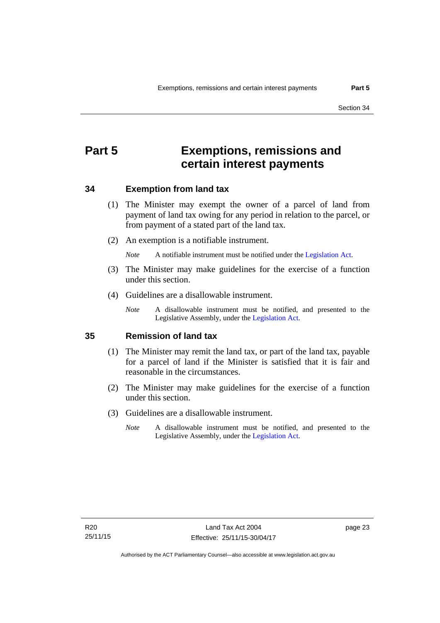## <span id="page-28-0"></span>**Part 5 Exemptions, remissions and certain interest payments**

## <span id="page-28-1"></span>**34 Exemption from land tax**

- (1) The Minister may exempt the owner of a parcel of land from payment of land tax owing for any period in relation to the parcel, or from payment of a stated part of the land tax.
- (2) An exemption is a notifiable instrument.

*Note* A notifiable instrument must be notified under the [Legislation Act](http://www.legislation.act.gov.au/a/2001-14).

- (3) The Minister may make guidelines for the exercise of a function under this section.
- (4) Guidelines are a disallowable instrument.
	- *Note* A disallowable instrument must be notified, and presented to the Legislative Assembly, under the [Legislation Act.](http://www.legislation.act.gov.au/a/2001-14)

### <span id="page-28-2"></span>**35 Remission of land tax**

- (1) The Minister may remit the land tax, or part of the land tax, payable for a parcel of land if the Minister is satisfied that it is fair and reasonable in the circumstances.
- (2) The Minister may make guidelines for the exercise of a function under this section.
- (3) Guidelines are a disallowable instrument.
	- *Note* A disallowable instrument must be notified, and presented to the Legislative Assembly, under the [Legislation Act.](http://www.legislation.act.gov.au/a/2001-14)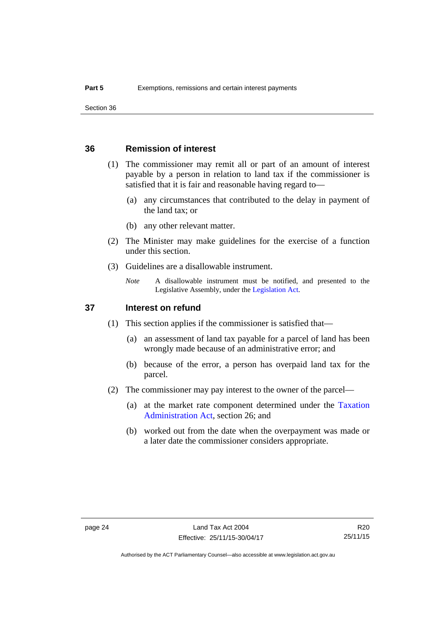## <span id="page-29-0"></span>**36 Remission of interest**

- (1) The commissioner may remit all or part of an amount of interest payable by a person in relation to land tax if the commissioner is satisfied that it is fair and reasonable having regard to—
	- (a) any circumstances that contributed to the delay in payment of the land tax; or
	- (b) any other relevant matter.
- (2) The Minister may make guidelines for the exercise of a function under this section.
- (3) Guidelines are a disallowable instrument.
	- *Note* A disallowable instrument must be notified, and presented to the Legislative Assembly, under the [Legislation Act.](http://www.legislation.act.gov.au/a/2001-14)

## <span id="page-29-1"></span>**37 Interest on refund**

- (1) This section applies if the commissioner is satisfied that—
	- (a) an assessment of land tax payable for a parcel of land has been wrongly made because of an administrative error; and
	- (b) because of the error, a person has overpaid land tax for the parcel.
- (2) The commissioner may pay interest to the owner of the parcel—
	- (a) at the market rate component determined under the [Taxation](http://www.legislation.act.gov.au/a/1999-4/default.asp)  [Administration Act](http://www.legislation.act.gov.au/a/1999-4/default.asp), section 26; and
	- (b) worked out from the date when the overpayment was made or a later date the commissioner considers appropriate.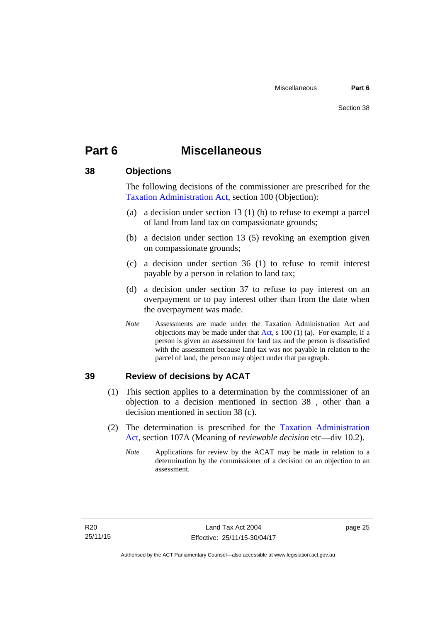## <span id="page-30-0"></span>**Part 6 Miscellaneous**

## <span id="page-30-1"></span>**38 Objections**

The following decisions of the commissioner are prescribed for the [Taxation Administration Act,](http://www.legislation.act.gov.au/a/1999-4/default.asp) section 100 (Objection):

- (a) a decision under section 13 (1) (b) to refuse to exempt a parcel of land from land tax on compassionate grounds;
- (b) a decision under section 13 (5) revoking an exemption given on compassionate grounds;
- (c) a decision under section 36 (1) to refuse to remit interest payable by a person in relation to land tax;
- (d) a decision under section 37 to refuse to pay interest on an overpayment or to pay interest other than from the date when the overpayment was made.
- *Note* Assessments are made under the Taxation Administration Act and objections may be made under that [Act](http://www.legislation.act.gov.au/a/1999-4/default.asp), s 100 (1) (a). For example, if a person is given an assessment for land tax and the person is dissatisfied with the assessment because land tax was not payable in relation to the parcel of land, the person may object under that paragraph.

## <span id="page-30-2"></span>**39 Review of decisions by ACAT**

- (1) This section applies to a determination by the commissioner of an objection to a decision mentioned in section 38 , other than a decision mentioned in section 38 (c).
- (2) The determination is prescribed for the [Taxation Administration](http://www.legislation.act.gov.au/a/1999-4/default.asp)  [Act](http://www.legislation.act.gov.au/a/1999-4/default.asp), section 107A (Meaning of *reviewable decision* etc—div 10.2).
	- *Note* Applications for review by the ACAT may be made in relation to a determination by the commissioner of a decision on an objection to an assessment.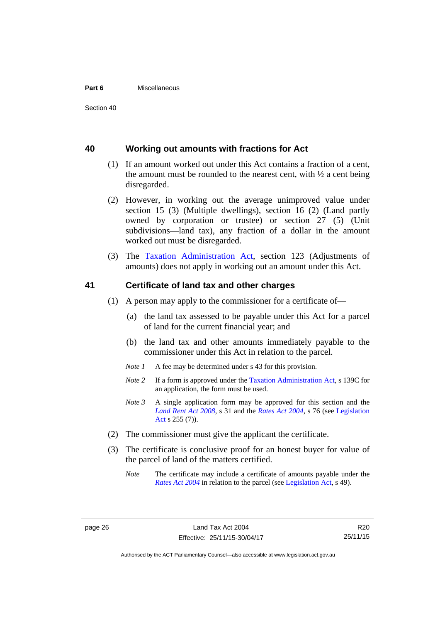#### **Part 6** Miscellaneous

## <span id="page-31-0"></span>**40 Working out amounts with fractions for Act**

- (1) If an amount worked out under this Act contains a fraction of a cent, the amount must be rounded to the nearest cent, with  $\frac{1}{2}$  a cent being disregarded.
- (2) However, in working out the average unimproved value under section 15 (3) (Multiple dwellings), section 16 (2) (Land partly owned by corporation or trustee) or section 27 (5) (Unit subdivisions—land tax), any fraction of a dollar in the amount worked out must be disregarded.
- (3) The [Taxation Administration Act,](http://www.legislation.act.gov.au/a/1999-4/default.asp) section 123 (Adjustments of amounts) does not apply in working out an amount under this Act.

## <span id="page-31-1"></span>**41 Certificate of land tax and other charges**

- (1) A person may apply to the commissioner for a certificate of—
	- (a) the land tax assessed to be payable under this Act for a parcel of land for the current financial year; and
	- (b) the land tax and other amounts immediately payable to the commissioner under this Act in relation to the parcel.
	- *Note 1* A fee may be determined under s 43 for this provision.
	- *Note 2* If a form is approved under the [Taxation Administration Act](http://www.legislation.act.gov.au/a/1999-4/default.asp), s 139C for an application, the form must be used.
	- *Note 3* A single application form may be approved for this section and the *[Land Rent Act 2008](http://www.legislation.act.gov.au/a/2008-16)*, s 31 and the *[Rates Act 2004](http://www.legislation.act.gov.au/a/2004-3)*, s 76 (see [Legislation](http://www.legislation.act.gov.au/a/2001-14)  [Act](http://www.legislation.act.gov.au/a/2001-14) s 255 (7)).
- (2) The commissioner must give the applicant the certificate.
- (3) The certificate is conclusive proof for an honest buyer for value of the parcel of land of the matters certified.
	- *Note* The certificate may include a certificate of amounts payable under the *[Rates Act 2004](http://www.legislation.act.gov.au/a/2004-3)* in relation to the parcel (see [Legislation Act,](http://www.legislation.act.gov.au/a/2001-14) s 49).

R20 25/11/15

Authorised by the ACT Parliamentary Counsel—also accessible at www.legislation.act.gov.au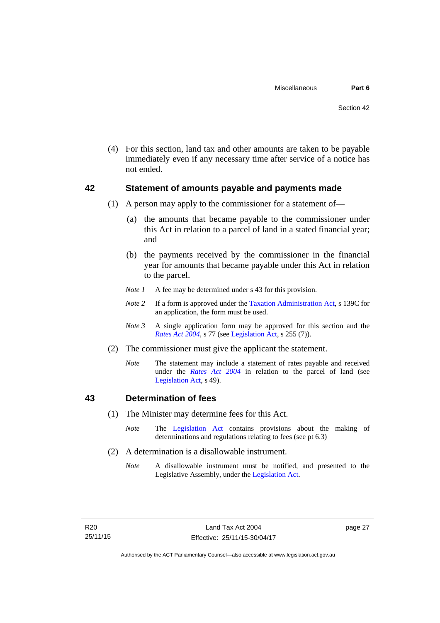(4) For this section, land tax and other amounts are taken to be payable immediately even if any necessary time after service of a notice has not ended.

## <span id="page-32-0"></span>**42 Statement of amounts payable and payments made**

- (1) A person may apply to the commissioner for a statement of—
	- (a) the amounts that became payable to the commissioner under this Act in relation to a parcel of land in a stated financial year; and
	- (b) the payments received by the commissioner in the financial year for amounts that became payable under this Act in relation to the parcel.
	- *Note 1* A fee may be determined under s 43 for this provision.
	- *Note 2* If a form is approved under the [Taxation Administration Act](http://www.legislation.act.gov.au/a/1999-4/default.asp), s 139C for an application, the form must be used.
	- *Note 3* A single application form may be approved for this section and the *[Rates Act 2004](http://www.legislation.act.gov.au/a/2004-3)*, s 77 (see [Legislation Act,](http://www.legislation.act.gov.au/a/2001-14) s 255 (7)).
- (2) The commissioner must give the applicant the statement.
	- *Note* The statement may include a statement of rates payable and received under the *[Rates Act 2004](http://www.legislation.act.gov.au/a/2004-3)* in relation to the parcel of land (see [Legislation Act,](http://www.legislation.act.gov.au/a/2001-14) s 49).

## <span id="page-32-1"></span>**43 Determination of fees**

- (1) The Minister may determine fees for this Act.
	- *Note* The [Legislation Act](http://www.legislation.act.gov.au/a/2001-14) contains provisions about the making of determinations and regulations relating to fees (see pt 6.3)
- (2) A determination is a disallowable instrument.
	- *Note* A disallowable instrument must be notified, and presented to the Legislative Assembly, under the [Legislation Act.](http://www.legislation.act.gov.au/a/2001-14)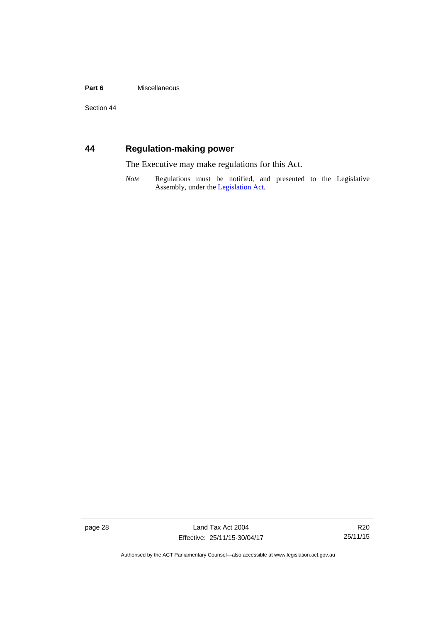#### Part 6 **Miscellaneous**

Section 44

## <span id="page-33-0"></span>**44 Regulation-making power**

The Executive may make regulations for this Act.

*Note* Regulations must be notified, and presented to the Legislative Assembly, under the [Legislation Act](http://www.legislation.act.gov.au/a/2001-14).

page 28 Land Tax Act 2004 Effective: 25/11/15-30/04/17

R20 25/11/15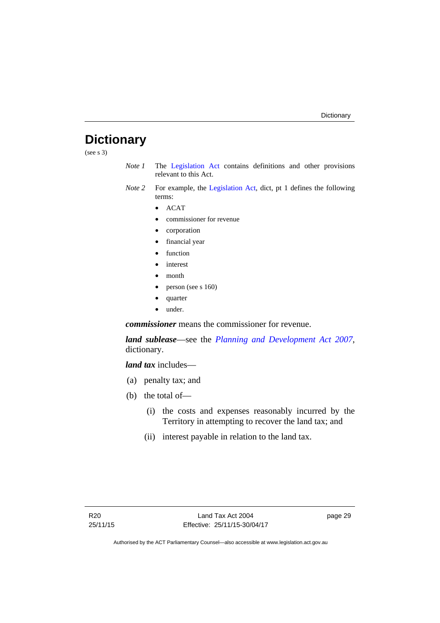## <span id="page-34-0"></span>**Dictionary**

(see s 3)

- *Note 1* The [Legislation Act](http://www.legislation.act.gov.au/a/2001-14) contains definitions and other provisions relevant to this Act.
- *Note 2* For example, the [Legislation Act](http://www.legislation.act.gov.au/a/2001-14), dict, pt 1 defines the following terms:
	- $\bullet$  ACAT
	- commissioner for revenue
	- corporation
	- financial year
	- function
	- interest
	- month
	- person (see s 160)
	- quarter
	- under.

*commissioner* means the commissioner for revenue.

*land sublease*—see the *[Planning and Development Act 2007](http://www.legislation.act.gov.au/a/2007-24)*, dictionary.

*land tax* includes—

- (a) penalty tax; and
- (b) the total of—
	- (i) the costs and expenses reasonably incurred by the Territory in attempting to recover the land tax; and
	- (ii) interest payable in relation to the land tax.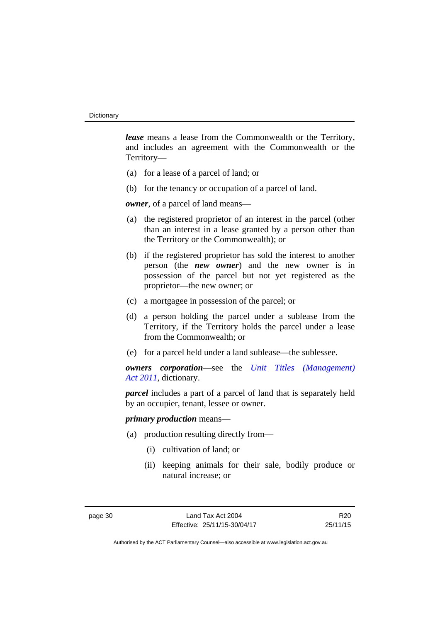*lease* means a lease from the Commonwealth or the Territory, and includes an agreement with the Commonwealth or the Territory—

- (a) for a lease of a parcel of land; or
- (b) for the tenancy or occupation of a parcel of land.

*owner*, of a parcel of land means—

- (a) the registered proprietor of an interest in the parcel (other than an interest in a lease granted by a person other than the Territory or the Commonwealth); or
- (b) if the registered proprietor has sold the interest to another person (the *new owner*) and the new owner is in possession of the parcel but not yet registered as the proprietor—the new owner; or
- (c) a mortgagee in possession of the parcel; or
- (d) a person holding the parcel under a sublease from the Territory, if the Territory holds the parcel under a lease from the Commonwealth; or
- (e) for a parcel held under a land sublease—the sublessee.

*owners corporation*—see the *[Unit Titles \(Management\)](http://www.legislation.act.gov.au/a/2011-41)  [Act 2011](http://www.legislation.act.gov.au/a/2011-41)*, dictionary.

*parcel* includes a part of a parcel of land that is separately held by an occupier, tenant, lessee or owner.

### *primary production* means—

- (a) production resulting directly from—
	- (i) cultivation of land; or
	- (ii) keeping animals for their sale, bodily produce or natural increase; or

R20 25/11/15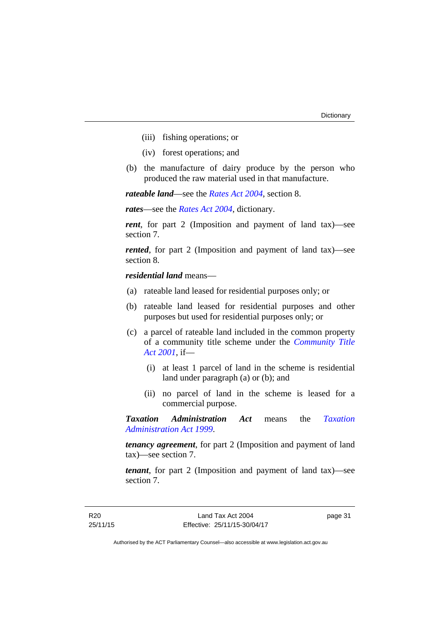- (iii) fishing operations; or
- (iv) forest operations; and
- (b) the manufacture of dairy produce by the person who produced the raw material used in that manufacture.

*rateable land*—see the *[Rates Act 2004](http://www.legislation.act.gov.au/a/2004-3)*, section 8.

*rates*—see the *[Rates Act 2004](http://www.legislation.act.gov.au/a/2004-3)*, dictionary.

*rent*, for part 2 (Imposition and payment of land tax)—see section 7.

*rented*, for part 2 (Imposition and payment of land tax)—see section 8.

*residential land* means—

- (a) rateable land leased for residential purposes only; or
- (b) rateable land leased for residential purposes and other purposes but used for residential purposes only; or
- (c) a parcel of rateable land included in the common property of a community title scheme under the *[Community Title](http://www.legislation.act.gov.au/a/2001-58)  [Act 2001](http://www.legislation.act.gov.au/a/2001-58)*, if—
	- (i) at least 1 parcel of land in the scheme is residential land under paragraph (a) or (b); and
	- (ii) no parcel of land in the scheme is leased for a commercial purpose.

*Taxation Administration Act* means the *[Taxation](http://www.legislation.act.gov.au/a/1999-4)  [Administration Act 1999](http://www.legislation.act.gov.au/a/1999-4)*.

*tenancy agreement*, for part 2 (Imposition and payment of land tax)—see section 7.

*tenant*, for part 2 (Imposition and payment of land tax)—see section 7.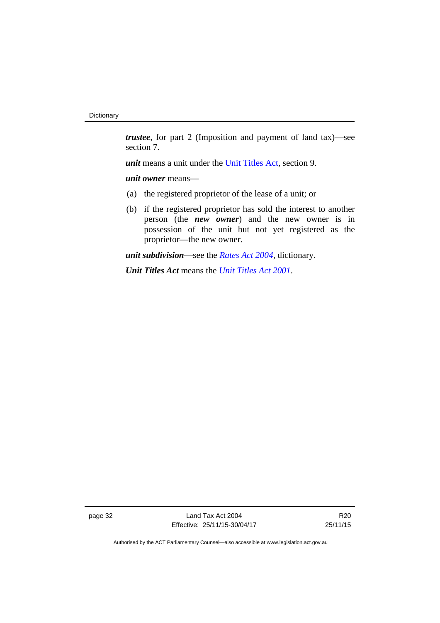*trustee*, for part 2 (Imposition and payment of land tax)—see section 7.

*unit* means a unit under the [Unit Titles Act,](http://www.legislation.act.gov.au/a/2001-16/default.asp) section 9.

*unit owner* means—

- (a) the registered proprietor of the lease of a unit; or
- (b) if the registered proprietor has sold the interest to another person (the *new owner*) and the new owner is in possession of the unit but not yet registered as the proprietor—the new owner.

*unit subdivision*—see the *[Rates Act 2004](http://www.legislation.act.gov.au/a/2004-3)*, dictionary.

*Unit Titles Act* means the *[Unit Titles Act 2001](http://www.legislation.act.gov.au/a/2001-16)*.

page 32 Land Tax Act 2004 Effective: 25/11/15-30/04/17

R20 25/11/15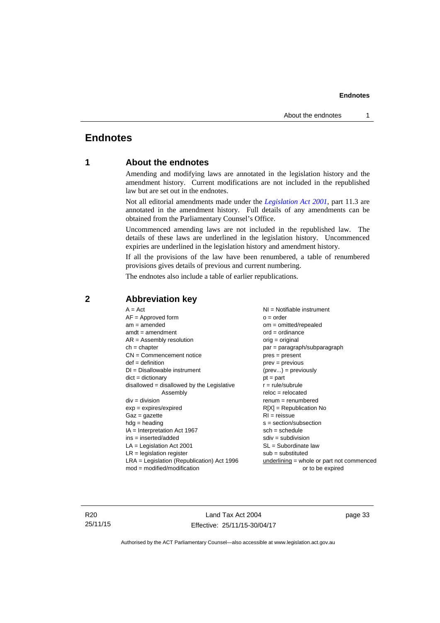## <span id="page-38-0"></span>**Endnotes**

## **1 About the endnotes**

Amending and modifying laws are annotated in the legislation history and the amendment history. Current modifications are not included in the republished law but are set out in the endnotes.

Not all editorial amendments made under the *[Legislation Act 2001](http://www.legislation.act.gov.au/a/2001-14)*, part 11.3 are annotated in the amendment history. Full details of any amendments can be obtained from the Parliamentary Counsel's Office.

Uncommenced amending laws are not included in the republished law. The details of these laws are underlined in the legislation history. Uncommenced expiries are underlined in the legislation history and amendment history.

If all the provisions of the law have been renumbered, a table of renumbered provisions gives details of previous and current numbering.

The endnotes also include a table of earlier republications.

| $A = Act$                                    | $NI =$ Notifiable instrument                |
|----------------------------------------------|---------------------------------------------|
| $AF =$ Approved form                         | $o = order$                                 |
| $am = amended$                               | $om = omitted/repealed$                     |
| $amdt = amendment$                           | $ord = ordinance$                           |
| $AR = Assembly resolution$                   | $orig = original$                           |
| $ch = chapter$                               | par = paragraph/subparagraph                |
| $CN =$ Commencement notice                   | $pres = present$                            |
| $def = definition$                           | prev = previous                             |
| $DI = Disallowable instrument$               | $(\text{prev}) = \text{previously}$         |
| $dict = dictionary$                          | $pt = part$                                 |
| disallowed = disallowed by the Legislative   | $r = rule/subrule$                          |
| Assembly                                     | $reloc = relocated$                         |
| $div = division$                             | $renum = renumbered$                        |
| $exp = expires/expired$                      | $R[X]$ = Republication No                   |
| $Gaz = gazette$                              | $RI = reissue$                              |
| $hdg = heading$                              | $s = section/subsection$                    |
| $IA = Interpretation Act 1967$               | $sch = schedule$                            |
| ins = inserted/added                         | $sdiv = subdivision$                        |
| $LA =$ Legislation Act 2001                  | $SL = Subordinate$ law                      |
| $LR =$ legislation register                  | $sub =$ substituted                         |
| $LRA =$ Legislation (Republication) Act 1996 | $underlining = whole or part not commenced$ |
| $mod = modified/modification$                | or to be expired                            |
|                                              |                                             |

## <span id="page-38-2"></span>**2 Abbreviation key**

R20 25/11/15

Land Tax Act 2004 Effective: 25/11/15-30/04/17 page 33

<span id="page-38-1"></span>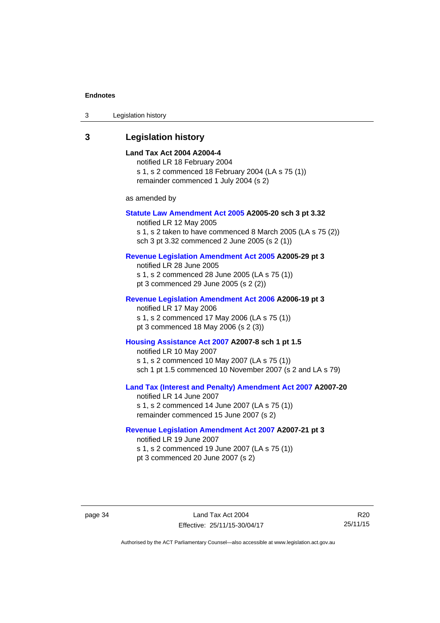| 3 | Legislation history |  |
|---|---------------------|--|
|---|---------------------|--|

## <span id="page-39-0"></span>**3 Legislation history**

#### **Land Tax Act 2004 A2004-4**

notified LR 18 February 2004 s 1, s 2 commenced 18 February 2004 (LA s 75 (1)) remainder commenced 1 July 2004 (s 2)

as amended by

#### **[Statute Law Amendment Act 2005](http://www.legislation.act.gov.au/a/2005-20) A2005-20 sch 3 pt 3.32**

notified LR 12 May 2005 s 1, s 2 taken to have commenced 8 March 2005 (LA s 75 (2)) sch 3 pt 3.32 commenced 2 June 2005 (s 2 (1))

### **[Revenue Legislation Amendment Act 2005](http://www.legislation.act.gov.au/a/2005-29) A2005-29 pt 3**

notified LR 28 June 2005 s 1, s 2 commenced 28 June 2005 (LA s 75 (1)) pt 3 commenced 29 June 2005 (s 2 (2))

#### **[Revenue Legislation Amendment Act 2006](http://www.legislation.act.gov.au/a/2006-19) A2006-19 pt 3**

notified LR 17 May 2006 s 1, s 2 commenced 17 May 2006 (LA s 75 (1)) pt 3 commenced 18 May 2006 (s 2 (3))

#### **[Housing Assistance Act 2007](http://www.legislation.act.gov.au/a/2007-8) A2007-8 sch 1 pt 1.5**

notified LR 10 May 2007 s 1, s 2 commenced 10 May 2007 (LA s 75 (1)) sch 1 pt 1.5 commenced 10 November 2007 (s 2 and LA s 79)

## **[Land Tax \(Interest and Penalty\) Amendment Act 2007](http://www.legislation.act.gov.au/a/2007-20) A2007-20**

notified LR 14 June 2007 s 1, s 2 commenced 14 June 2007 (LA s 75 (1)) remainder commenced 15 June 2007 (s 2)

### **[Revenue Legislation Amendment Act 2007](http://www.legislation.act.gov.au/a/2007-21) A2007-21 pt 3**

notified LR 19 June 2007 s 1, s 2 commenced 19 June 2007 (LA s 75 (1)) pt 3 commenced 20 June 2007 (s 2)

R20 25/11/15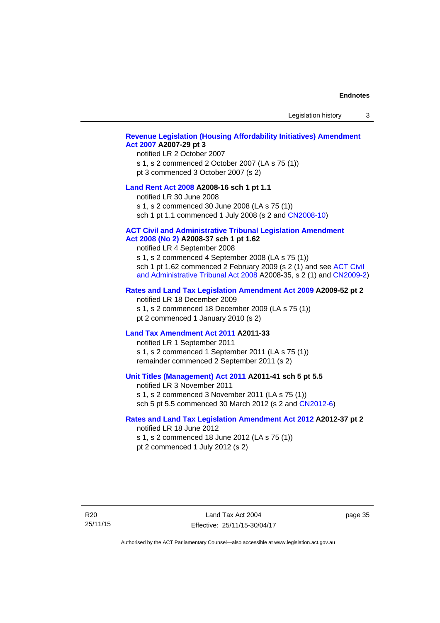Legislation history 3

### **[Revenue Legislation \(Housing Affordability Initiatives\) Amendment](http://www.legislation.act.gov.au/a/2007-29)  [Act 2007](http://www.legislation.act.gov.au/a/2007-29) A2007-29 pt 3**

#### notified LR 2 October 2007

s 1, s 2 commenced 2 October 2007 (LA s 75 (1)) pt 3 commenced 3 October 2007 (s 2)

#### **[Land Rent Act 2008](http://www.legislation.act.gov.au/a/2008-16) A2008-16 sch 1 pt 1.1**

notified LR 30 June 2008

s 1, s 2 commenced 30 June 2008 (LA s 75 (1))

sch 1 pt 1.1 commenced 1 July 2008 (s 2 and [CN2008-10\)](http://www.legislation.act.gov.au/cn/2008-10/default.asp)

#### **[ACT Civil and Administrative Tribunal Legislation Amendment](http://www.legislation.act.gov.au/a/2008-37)**

## **[Act 2008 \(No 2\)](http://www.legislation.act.gov.au/a/2008-37) A2008-37 sch 1 pt 1.62**

notified LR 4 September 2008

s 1, s 2 commenced 4 September 2008 (LA s 75 (1)) sch 1 pt 1.62 commenced 2 February 2009 (s 2 (1) and see [ACT Civil](http://www.legislation.act.gov.au/a/2008-35)  [and Administrative Tribunal Act 2008](http://www.legislation.act.gov.au/a/2008-35) A2008-35, s 2 (1) and [CN2009-2](http://www.legislation.act.gov.au/cn/2009-2/default.asp))

#### **[Rates and Land Tax Legislation Amendment Act 2009](http://www.legislation.act.gov.au/a/2009-52) A2009-52 pt 2**

notified LR 18 December 2009 s 1, s 2 commenced 18 December 2009 (LA s 75 (1)) pt 2 commenced 1 January 2010 (s 2)

#### **[Land Tax Amendment Act 2011](http://www.legislation.act.gov.au/a/2011-33) A2011-33**

notified LR 1 September 2011 s 1, s 2 commenced 1 September 2011 (LA s 75 (1)) remainder commenced 2 September 2011 (s 2)

#### **[Unit Titles \(Management\) Act 2011](http://www.legislation.act.gov.au/a/2011-41) A2011-41 sch 5 pt 5.5**

notified LR 3 November 2011 s 1, s 2 commenced 3 November 2011 (LA s 75 (1)) sch 5 pt 5.5 commenced 30 March 2012 (s 2 and [CN2012-6\)](http://www.legislation.act.gov.au/cn/2012-6/default.asp)

#### **[Rates and Land Tax Legislation Amendment Act 2012](http://www.legislation.act.gov.au/a/2012-37) A2012-37 pt 2**

notified LR 18 June 2012 s 1, s 2 commenced 18 June 2012 (LA s 75 (1)) pt 2 commenced 1 July 2012 (s 2)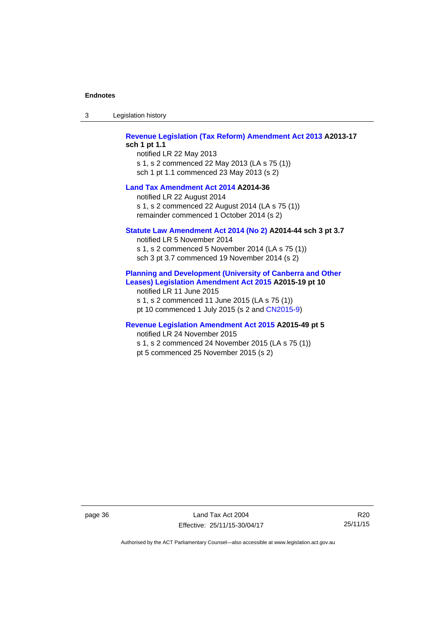| -3 | Legislation history |
|----|---------------------|
|----|---------------------|

**[Revenue Legislation \(Tax Reform\) Amendment Act 2013](http://www.legislation.act.gov.au/a/2013-17) A2013-17 sch 1 pt 1.1** 

notified LR 22 May 2013 s 1, s 2 commenced 22 May 2013 (LA s 75 (1)) sch 1 pt 1.1 commenced 23 May 2013 (s 2)

#### **[Land Tax Amendment Act 2014](http://www.legislation.act.gov.au/a/2014-36) A2014-36**

notified LR 22 August 2014 s 1, s 2 commenced 22 August 2014 (LA s 75 (1)) remainder commenced 1 October 2014 (s 2)

#### **[Statute Law Amendment Act 2014 \(No 2\)](http://www.legislation.act.gov.au/a/2014-44) A2014-44 sch 3 pt 3.7**

notified LR 5 November 2014 s 1, s 2 commenced 5 November 2014 (LA s 75 (1)) sch 3 pt 3.7 commenced 19 November 2014 (s 2)

#### **[Planning and Development \(University of Canberra and Other](http://www.legislation.act.gov.au/a/2015-19)  [Leases\) Legislation Amendment Act 2015](http://www.legislation.act.gov.au/a/2015-19) A2015-19 pt 10**

notified LR 11 June 2015 s 1, s 2 commenced 11 June 2015 (LA s 75 (1)) pt 10 commenced 1 July 2015 (s 2 and [CN2015-9\)](http://www.legislation.act.gov.au/cn/2015-9/default.asp)

## **[Revenue Legislation Amendment Act 2015](http://www.legislation.act.gov.au/a/2015-49/default.asp) A2015-49 pt 5**

notified LR 24 November 2015

s 1, s 2 commenced 24 November 2015 (LA s 75 (1)) pt 5 commenced 25 November 2015 (s 2)

page 36 Land Tax Act 2004 Effective: 25/11/15-30/04/17

R20 25/11/15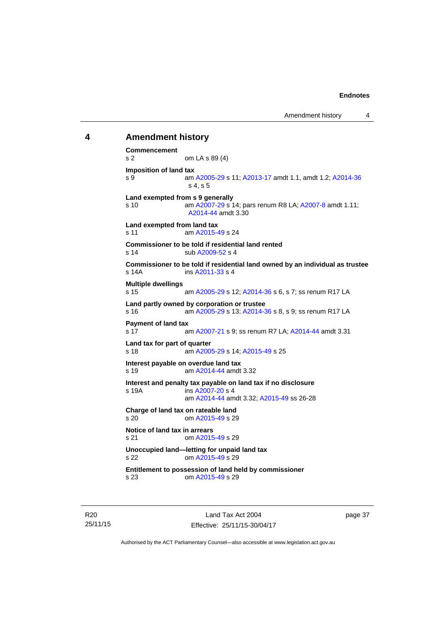## <span id="page-42-0"></span>**4 Amendment history Commencement**  s 2 om LA s 89 (4) **Imposition of land tax**  s 9 am [A2005-29](http://www.legislation.act.gov.au/a/2005-29) s 11; [A2013-17](http://www.legislation.act.gov.au/a/2013-17) amdt 1.1, amdt 1.2; [A2014-36](http://www.legislation.act.gov.au/a/2014-36) s 4, s 5 **Land exempted from s 9 generally**  s 10 am [A2007-29](http://www.legislation.act.gov.au/a/2007-29) s 14; pars renum R8 LA; [A2007-8](http://www.legislation.act.gov.au/a/2007-8) amdt 1.11; [A2014-44](http://www.legislation.act.gov.au/a/2014-44) amdt 3.30 **Land exempted from land tax**  s 11 am [A2015-49](http://www.legislation.act.gov.au/a/2015-49/default.asp) s 24 **Commissioner to be told if residential land rented**  s 14 sub [A2009-52](http://www.legislation.act.gov.au/a/2009-52) s 4 **Commissioner to be told if residential land owned by an individual as trustee**  s 14A ins [A2011-33](http://www.legislation.act.gov.au/a/2011-33) s 4 **Multiple dwellings**  s 15 am [A2005-29](http://www.legislation.act.gov.au/a/2005-29) s 12; [A2014-36](http://www.legislation.act.gov.au/a/2014-36) s 6, s 7; ss renum R17 LA **Land partly owned by corporation or trustee**  s 16 am [A2005-29](http://www.legislation.act.gov.au/a/2005-29) s 13; [A2014-36](http://www.legislation.act.gov.au/a/2014-36) s 8, s 9; ss renum R17 LA **Payment of land tax**  s 17 am [A2007-21](http://www.legislation.act.gov.au/a/2007-21) s 9; ss renum R7 LA; [A2014-44](http://www.legislation.act.gov.au/a/2014-44) amdt 3.31 **Land tax for part of quarter**  s 18 am [A2005-29](http://www.legislation.act.gov.au/a/2005-29) s 14; [A2015-49](http://www.legislation.act.gov.au/a/2015-49/default.asp) s 25 **Interest payable on overdue land tax**  s 19 am [A2014-44](http://www.legislation.act.gov.au/a/2014-44) amdt 3.32 **Interest and penalty tax payable on land tax if no disclosure**  s 19A ins [A2007-20](http://www.legislation.act.gov.au/a/2007-20) s 4 am [A2014-44](http://www.legislation.act.gov.au/a/2014-44) amdt 3.32; [A2015-49](http://www.legislation.act.gov.au/a/2015-49/default.asp) ss 26-28 **Charge of land tax on rateable land**<br>s 20 0m A2015-49 s 29 om [A2015-49](http://www.legislation.act.gov.au/a/2015-49/default.asp) s 29 **Notice of land tax in arrears**  s 21 om [A2015-49](http://www.legislation.act.gov.au/a/2015-49/default.asp) s 29 **Unoccupied land—letting for unpaid land tax**  s 22 om [A2015-49](http://www.legislation.act.gov.au/a/2015-49/default.asp) s 29 **Entitlement to possession of land held by commissioner**  s 23 om [A2015-49](http://www.legislation.act.gov.au/a/2015-49/default.asp) s 29

R20 25/11/15

Land Tax Act 2004 Effective: 25/11/15-30/04/17 page 37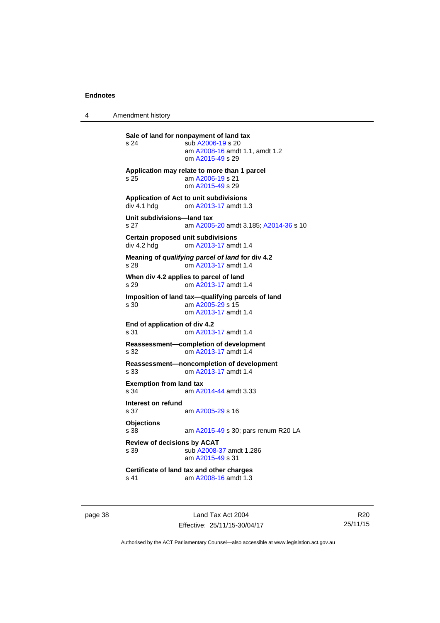4 Amendment history

**Sale of land for nonpayment of land tax**  s 24 sub [A2006-19](http://www.legislation.act.gov.au/a/2006-19) s 20 am [A2008-16](http://www.legislation.act.gov.au/a/2008-16) amdt 1.1, amdt 1.2 om [A2015-49](http://www.legislation.act.gov.au/a/2015-49/default.asp) s 29 **Application may relate to more than 1 parcel**  s 25 am [A2006-19](http://www.legislation.act.gov.au/a/2006-19) s 21 om [A2015-49](http://www.legislation.act.gov.au/a/2015-49/default.asp) s 29 **Application of Act to unit subdivisions**  om [A2013-17](http://www.legislation.act.gov.au/a/2013-17) amdt 1.3 **Unit subdivisions—land tax**  s 27 am [A2005-20](http://www.legislation.act.gov.au/a/2005-20) amdt 3.185; [A2014-36](http://www.legislation.act.gov.au/a/2014-36) s 10 **Certain proposed unit subdivisions**  div 4.2 hdg om [A2013-17](http://www.legislation.act.gov.au/a/2013-17) amdt 1.4 **Meaning of** *qualifying parcel of land* **for div 4.2**  s 28 om [A2013-17](http://www.legislation.act.gov.au/a/2013-17) amdt 1.4 **When div 4.2 applies to parcel of land**  s 29 om [A2013-17](http://www.legislation.act.gov.au/a/2013-17) amdt 1.4 **Imposition of land tax—qualifying parcels of land**  s 30 am [A2005-29](http://www.legislation.act.gov.au/a/2005-29) s 15 om [A2013-17](http://www.legislation.act.gov.au/a/2013-17) amdt 1.4 **End of application of div 4.2**  s 31 om [A2013-17](http://www.legislation.act.gov.au/a/2013-17) amdt 1.4 **Reassessment—completion of development**<br>s 32 **com A2013-17** amdt 1.4 om [A2013-17](http://www.legislation.act.gov.au/a/2013-17) amdt 1.4 **Reassessment—noncompletion of development**  s 33 om [A2013-17](http://www.legislation.act.gov.au/a/2013-17) amdt 1.4 **Exemption from land tax**  s 34 am [A2014-44](http://www.legislation.act.gov.au/a/2014-44) amdt 3.33 **Interest on refund**  s 37 am [A2005-29](http://www.legislation.act.gov.au/a/2005-29) s 16 **Objections** s 38 am [A2015-49](http://www.legislation.act.gov.au/a/2015-49/default.asp) s 30; pars renum R20 LA **Review of decisions by ACAT**  s 39 sub [A2008-37](http://www.legislation.act.gov.au/a/2008-37) amdt 1.286 am [A2015-49](http://www.legislation.act.gov.au/a/2015-49/default.asp) s 31 **Certificate of land tax and other charges**  s 41 am [A2008-16](http://www.legislation.act.gov.au/a/2008-16) amdt 1.3

page 38 Land Tax Act 2004 Effective: 25/11/15-30/04/17

R20 25/11/15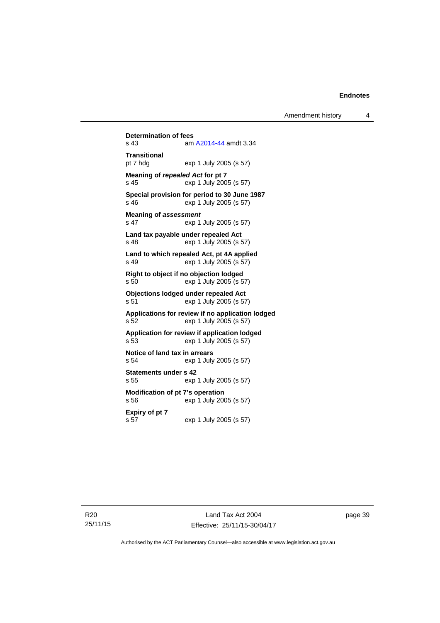**Determination of fees**<br>s 43 am am [A2014-44](http://www.legislation.act.gov.au/a/2014-44) amdt 3.34 **Transitional**  pt 7 hdg exp 1 July 2005 (s 57) **Meaning of** *repealed Act* **for pt 7**  s 45 exp 1 July 2005 (s 57) **Special provision for period to 30 June 1987**  s 46 exp 1 July 2005 (s 57) **Meaning of** *assessment*<br>s 47 exp 1 exp 1 July 2005 (s 57) **Land tax payable under repealed Act**  s 48 exp 1 July 2005 (s 57) **Land to which repealed Act, pt 4A applied**  s 49 exp 1 July 2005 (s 57) **Right to object if no objection lodged**  s 50 exp 1 July 2005 (s 57) **Objections lodged under repealed Act**  s 51 exp 1 July 2005 (s 57) **Applications for review if no application lodged**  s 52 exp 1 July 2005 (s 57) **Application for review if application lodged**  exp 1 July 2005 (s 57) **Notice of land tax in arrears**  exp 1 July 2005 (s 57) **Statements under s 42**  s 55 exp 1 July 2005 (s 57) **Modification of pt 7's operation**  s 56 exp 1 July 2005 (s 57) **Expiry of pt 7**  exp 1 July 2005 (s 57)

R20 25/11/15 page 39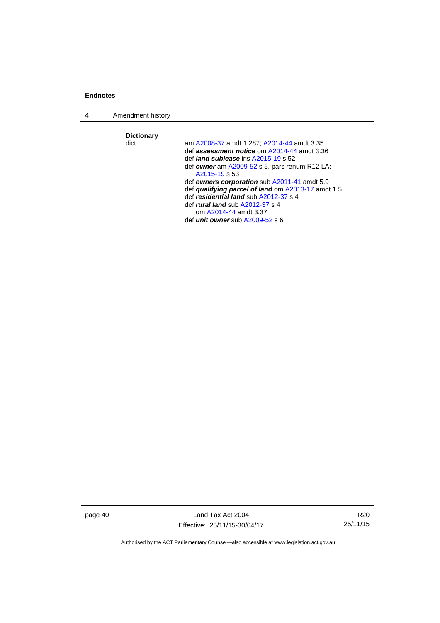4 Amendment history

**Dictionary**  am [A2008-37](http://www.legislation.act.gov.au/a/2008-37) amdt 1.287; [A2014-44](http://www.legislation.act.gov.au/a/2014-44) amdt 3.35 def *assessment notice* om [A2014-44](http://www.legislation.act.gov.au/a/2014-44) amdt 3.36 def *land sublease* ins [A2015-19](http://www.legislation.act.gov.au/a/2015-19) s 52 def *owner* am [A2009-52](http://www.legislation.act.gov.au/a/2009-52) s 5, pars renum R12 LA; [A2015-19](http://www.legislation.act.gov.au/a/2015-19) s 53 def *owners corporation* sub [A2011-41](http://www.legislation.act.gov.au/a/2011-41) amdt 5.9 def *qualifying parcel of land* om [A2013-17](http://www.legislation.act.gov.au/a/2013-17) amdt 1.5 def *residential land* sub [A2012-37](http://www.legislation.act.gov.au/a/2012-37) s 4 def *rural land* sub [A2012-37](http://www.legislation.act.gov.au/a/2012-37) s 4 om [A2014-44](http://www.legislation.act.gov.au/a/2014-44) amdt 3.37 def *unit owner* sub [A2009-52](http://www.legislation.act.gov.au/a/2009-52) s 6

page 40 Land Tax Act 2004 Effective: 25/11/15-30/04/17

R20 25/11/15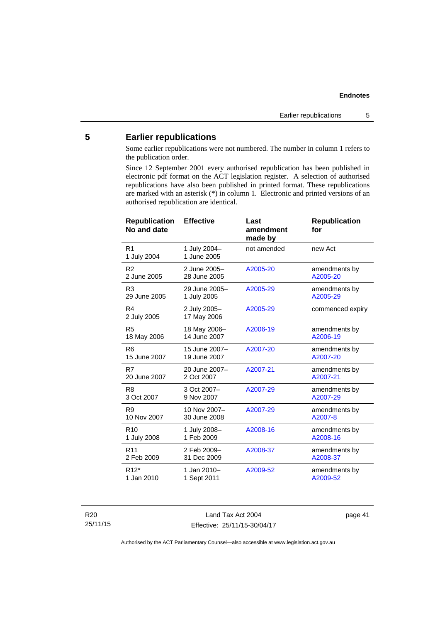## <span id="page-46-0"></span>**5 Earlier republications**

Some earlier republications were not numbered. The number in column 1 refers to the publication order.

Since 12 September 2001 every authorised republication has been published in electronic pdf format on the ACT legislation register. A selection of authorised republications have also been published in printed format. These republications are marked with an asterisk (\*) in column 1. Electronic and printed versions of an authorised republication are identical.

| <b>Republication</b><br>No and date | <b>Effective</b>            | Last<br>amendment<br>made by | <b>Republication</b><br>for |
|-------------------------------------|-----------------------------|------------------------------|-----------------------------|
| R <sub>1</sub><br>1 July 2004       | 1 July 2004-<br>1 June 2005 | not amended                  | new Act                     |
| R <sub>2</sub>                      | 2 June 2005-                | A2005-20                     | amendments by               |
| 2 June 2005                         | 28 June 2005                |                              | A2005-20                    |
| R <sub>3</sub>                      | 29 June 2005-               | A2005-29                     | amendments by               |
| 29 June 2005                        | 1 July 2005                 |                              | A2005-29                    |
| R4<br>2 July 2005                   | 2 July 2005-<br>17 May 2006 | A2005-29                     | commenced expiry            |
| R <sub>5</sub>                      | 18 May 2006-                | A2006-19                     | amendments by               |
| 18 May 2006                         | 14 June 2007                |                              | A2006-19                    |
| R <sub>6</sub>                      | 15 June 2007-               | A2007-20                     | amendments by               |
| 15 June 2007                        | 19 June 2007                |                              | A2007-20                    |
| R7                                  | 20 June 2007-               | A2007-21                     | amendments by               |
| 20 June 2007                        | 2 Oct 2007                  |                              | A2007-21                    |
| R <sub>8</sub>                      | 3 Oct 2007-                 | A2007-29                     | amendments by               |
| 3 Oct 2007                          | 9 Nov 2007                  |                              | A2007-29                    |
| R <sub>9</sub>                      | 10 Nov 2007-                | A2007-29                     | amendments by               |
| 10 Nov 2007                         | 30 June 2008                |                              | A2007-8                     |
| R <sub>10</sub>                     | 1 July 2008-                | A2008-16                     | amendments by               |
| 1 July 2008                         | 1 Feb 2009                  |                              | A2008-16                    |
| R <sub>11</sub>                     | 2 Feb 2009-                 | A2008-37                     | amendments by               |
| 2 Feb 2009                          | 31 Dec 2009                 |                              | A2008-37                    |
| R <sub>12</sub> *                   | 1 Jan 2010-                 | A2009-52                     | amendments by               |
| 1 Jan 2010                          | 1 Sept 2011                 |                              | A2009-52                    |

R20 25/11/15

Land Tax Act 2004 Effective: 25/11/15-30/04/17 page 41